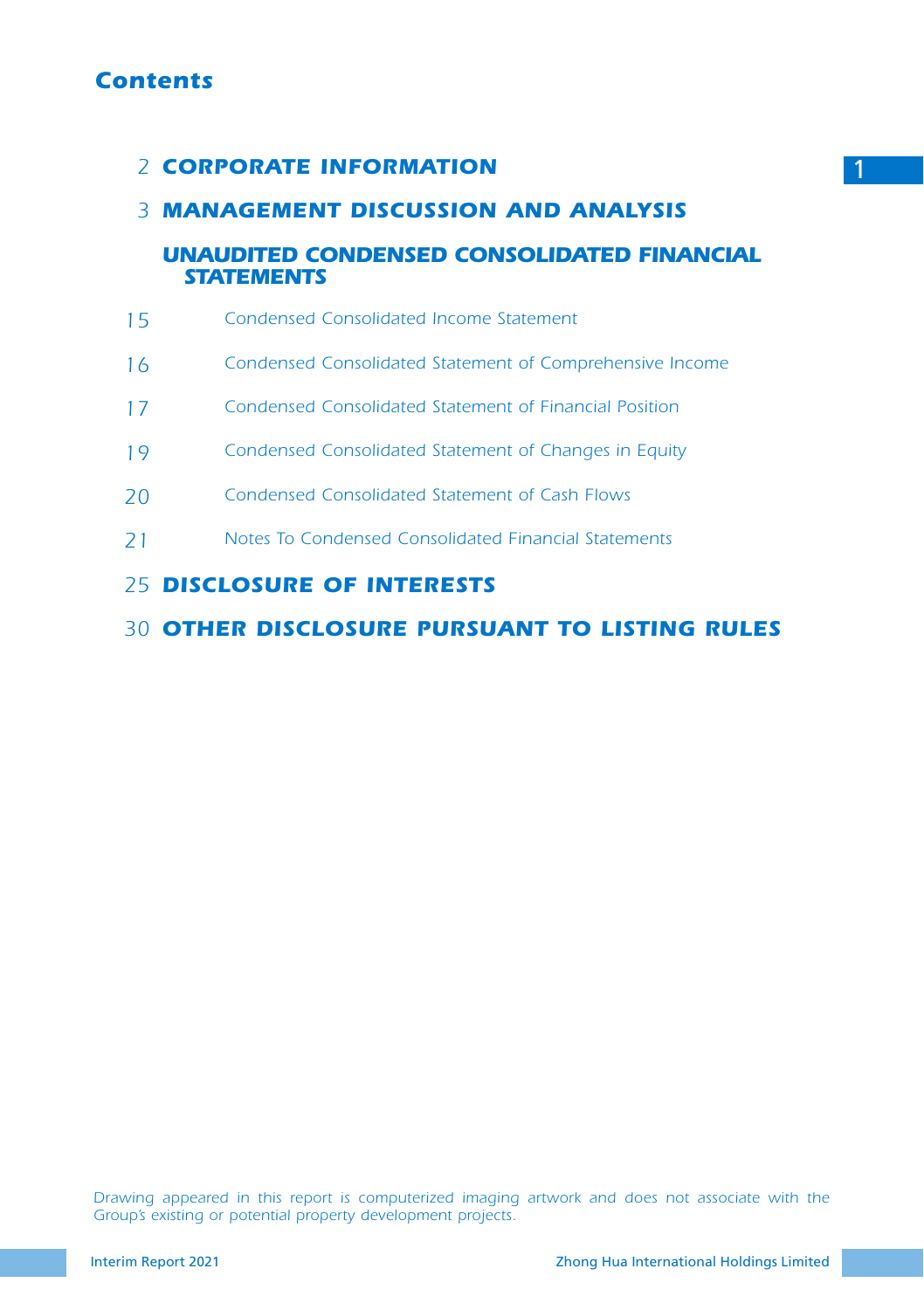# *Contents*

# **CORPORATE INFORMATION**

# *MANAGEMENT DISCUSSION AND ANALYSIS 3*

## *UNAUDITED CONDENSED CONSOLIDATED FINANCIAL STATEMENTS*

- *Condensed Consolidated Income Statement 15*
- *Condensed Consolidated Statement of Comprehensive Income 16*
- *Condensed Consolidated Statement of Financial Position 17*
- *Condensed Consolidated Statement of Changes in Equity 19*
- *Condensed Consolidated Statement of Cash Flows 20*
- *Notes To Condensed Consolidated Financial Statements 21*

## *DISCLOSURE OF INTERESTS 25*

### *OTHER DISCLOSURE PURSUANT TO LISTING RULES 30*

*Drawing appeared in this report is computerized imaging artwork and does not associate with the Group's existing or potential property development projects.*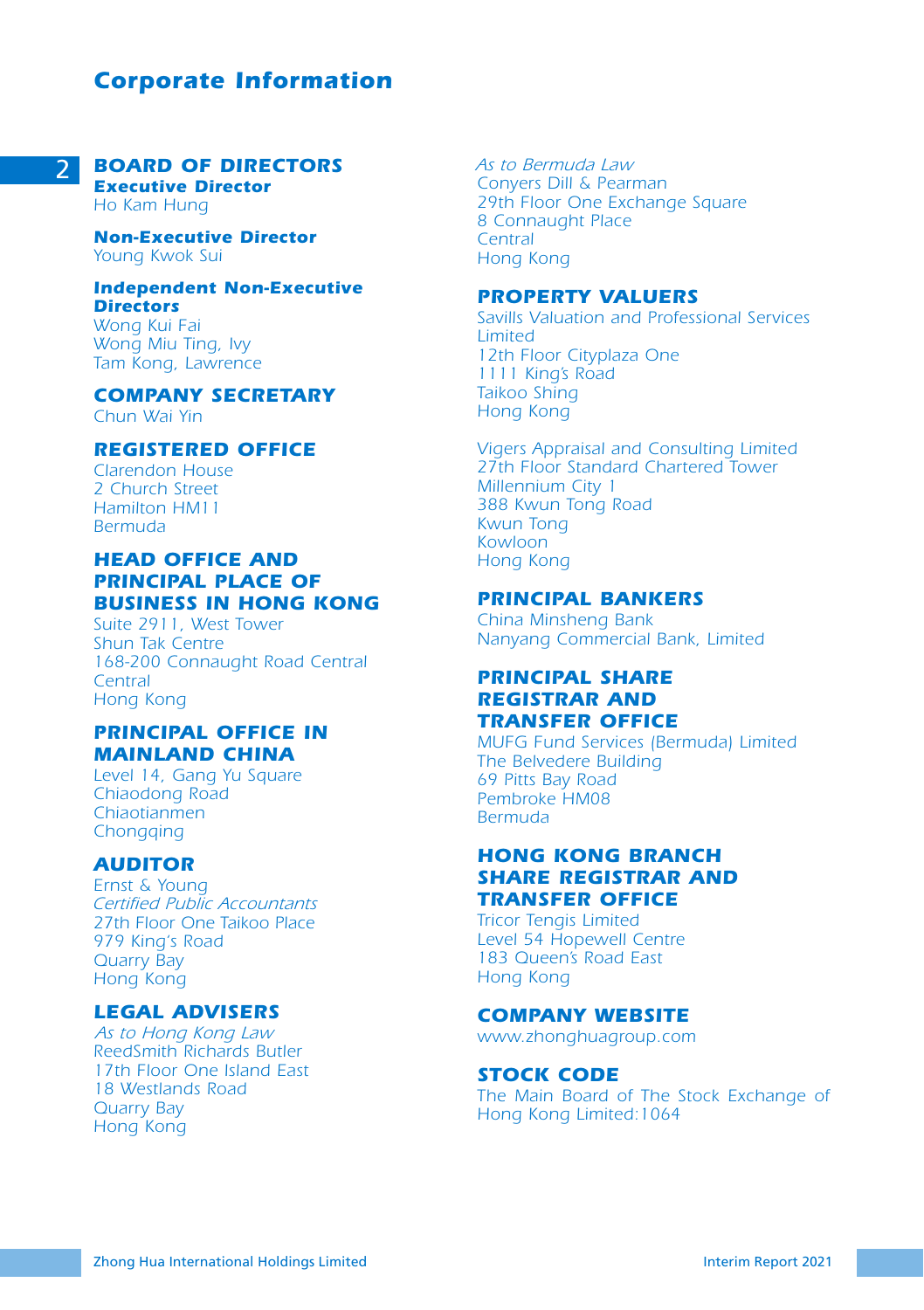# *Corporate Information*

#### 2 *BOARD OF DIRECTORS Executive Director*

*Ho Kam Hung*

*Non-Executive Director Young Kwok Sui*

#### *Independent Non-Executive Directors*

*Wong Kui Fai Wong Miu Ting, Ivy Tam Kong, Lawrence*

## *COMPANY SECRETARY*

*Chun Wai Yin*

#### *REGISTERED OFFICE*

*Clarendon House 2 Church Street Hamilton HM11 Bermuda*

## *HEAD OFFICE AND PRINCIPAL PLACE OF BUSINESS IN HONG KONG*

*Suite 2911, West Tower Shun Tak Centre 168-200 Connaught Road Central Central Hong Kong*

### *PRINCIPAL OFFICE IN MAINLAND CHINA*

*Level 14, Gang Yu Square Chiaodong Road Chiaotianmen Chongqing*

#### *AUDITOR*

*Ernst & Young Certified Public Accountants 27th Floor One Taikoo Place 979 King's Road Quarry Bay Hong Kong*

### *LEGAL ADVISERS*

*As to Hong Kong Law ReedSmith Richards Butler 17th Floor One Island East 18 Westlands Road Quarry Bay Hong Kong*

*As to Bermuda Law Conyers Dill & Pearman 29th Floor One Exchange Square 8 Connaught Place Central Hong Kong*

#### *PROPERTY VALUERS*

*Savills Valuation and Professional Services Limited 12th Floor Cityplaza One 1111 King's Road Taikoo Shing Hong Kong*

*Vigers Appraisal and Consulting Limited 27th Floor Standard Chartered Tower Millennium City 1 388 Kwun Tong Road Kwun Tong Kowloon Hong Kong*

#### *PRINCIPAL BANKERS*

*China Minsheng Bank Nanyang Commercial Bank, Limited*

#### *PRINCIPAL SHARE REGISTRAR AND TRANSFER OFFICE*

*MUFG Fund Services (Bermuda) Limited The Belvedere Building 69 Pitts Bay Road Pembroke HM08 Bermuda*

#### *HONG KONG BRANCH SHARE REGISTRAR AND TRANSFER OFFICE*

*Tricor Tengis Limited Level 54 Hopewell Centre 183 Queen's Road East Hong Kong*

#### *COMPANY WEBSITE*

*www.zhonghuagroup.com*

#### *STOCK CODE*

*The Main Board of The Stock Exchange of Hong Kong Limited:1064*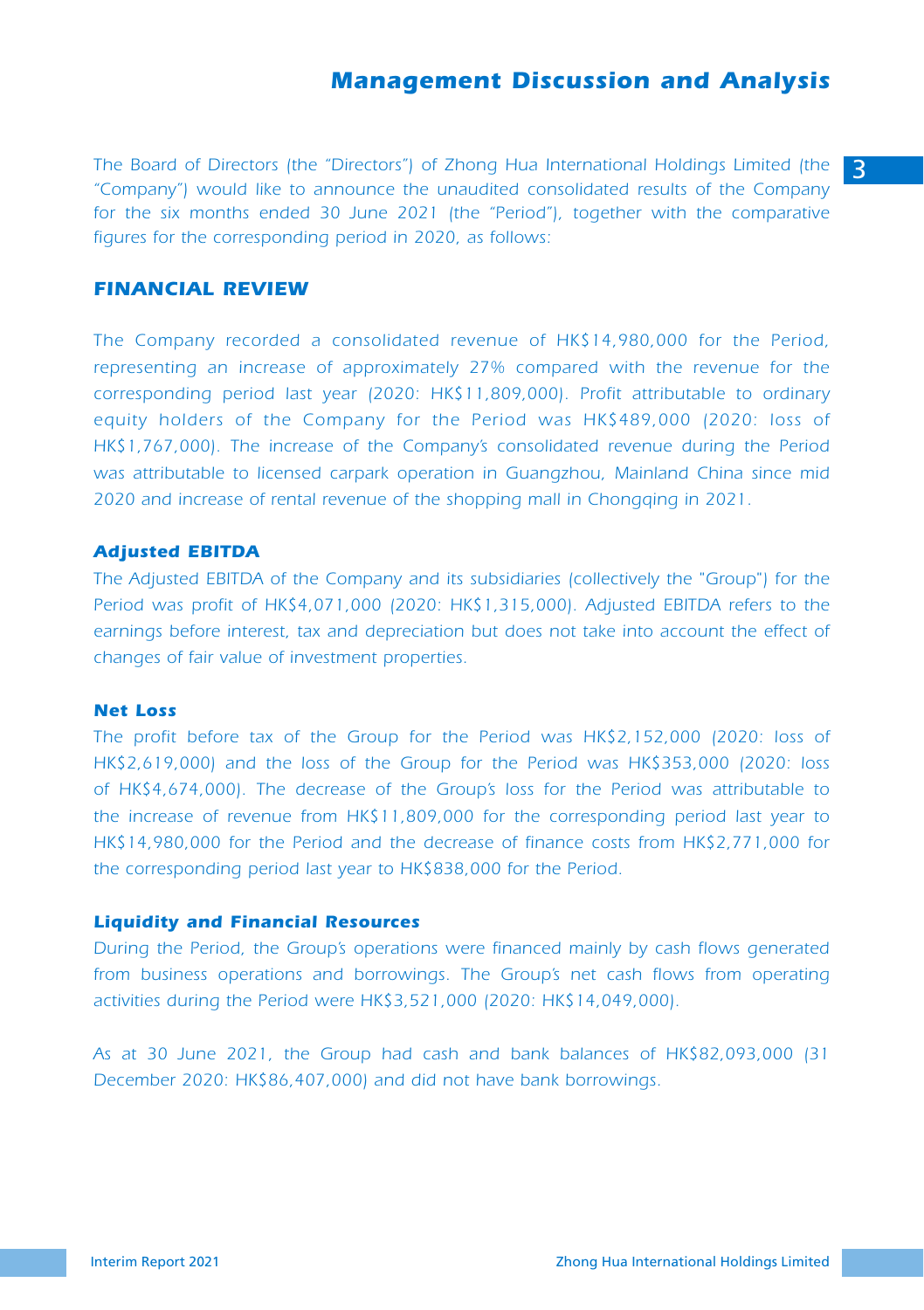3 *The Board of Directors (the "Directors") of Zhong Hua International Holdings Limited (the "Company") would like to announce the unaudited consolidated results of the Company*  for the six months ended 30 June 2021 (the "Period"), together with the comparative *figures for the corresponding period in 2020, as follows:* 

#### *FINANCIAL REVIEW*

*The Company recorded a consolidated revenue of HK\$14,980,000 for the Period, representing an increase of approximately 27% compared with the revenue for the corresponding period last year (2020: HK\$11,809,000). Profit attributable to ordinary equity holders of the Company for the Period was HK\$489,000 (2020: loss of HK\$1,767,000). The increase of the Company's consolidated revenue during the Period was attributable to licensed carpark operation in Guangzhou, Mainland China since mid 2020 and increase of rental revenue of the shopping mall in Chongqing in 2021.*

#### *Adjusted EBITDA*

*The Adjusted EBITDA of the Company and its subsidiaries (collectively the "Group") for the Period was profit of HK\$4,071,000 (2020: HK\$1,315,000). Adjusted EBITDA refers to the*  earnings before interest, tax and depreciation but does not take into account the effect of *changes of fair value of investment properties.*

#### *Net Loss*

*The profit before tax of the Group for the Period was HK\$2,152,000 (2020: loss of HK\$2,619,000) and the loss of the Group for the Period was HK\$353,000 (2020: loss of HK\$4,674,000). The decrease of the Group's loss for the Period was attributable to the increase of revenue from HK\$11,809,000 for the corresponding period last year to HK\$14,980,000 for the Period and the decrease of finance costs from HK\$2,771,000 for the corresponding period last year to HK\$838,000 for the Period.*

#### *Liquidity and Financial Resources*

*During the Period, the Group's operations were financed mainly by cash flows generated from business operations and borrowings. The Group's net cash flows from operating activities during the Period were HK\$3,521,000 (2020: HK\$14,049,000).*

*As at 30 June 2021, the Group had cash and bank balances of HK\$82,093,000 (31 December 2020: HK\$86,407,000) and did not have bank borrowings.*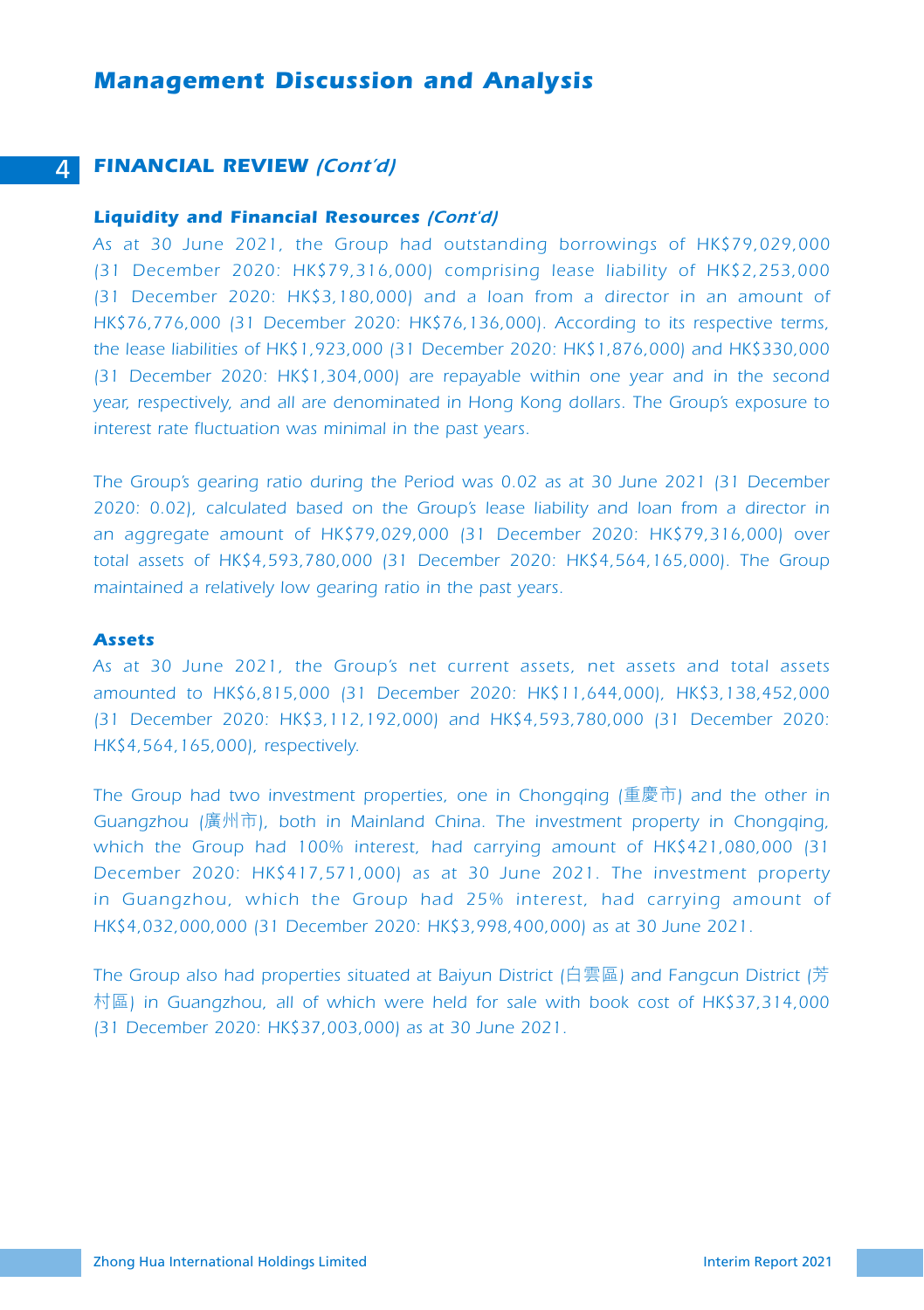#### 4 *FINANCIAL REVIEW (Cont'd)*

#### *Liquidity and Financial Resources (Cont'd)*

*As at 30 June 2021, the Group had outstanding borrowings of HK\$79,029,000 (31 December 2020: HK\$79,316,000) comprising lease liability of HK\$2,253,000 (31 December 2020: HK\$3,180,000) and a loan from a director in an amount of HK\$76,776,000 (31 December 2020: HK\$76,136,000). According to its respective terms, the lease liabilities of HK\$1,923,000 (31 December 2020: HK\$1,876,000) and HK\$330,000 (31 December 2020: HK\$1,304,000) are repayable within one year and in the second year, respectively, and all are denominated in Hong Kong dollars. The Group's exposure to interest rate fluctuation was minimal in the past years.*

*The Group's gearing ratio during the Period was 0.02 as at 30 June 2021 (31 December 2020: 0.02), calculated based on the Group's lease liability and loan from a director in an aggregate amount of HK\$79,029,000 (31 December 2020: HK\$79,316,000) over total assets of HK\$4,593,780,000 (31 December 2020: HK\$4,564,165,000). The Group maintained a relatively low gearing ratio in the past years.*

#### *Assets*

*As at 30 June 2021, the Group's net current assets, net assets and total assets amounted to HK\$6,815,000 (31 December 2020: HK\$11,644,000), HK\$3,138,452,000 (31 December 2020: HK\$3,112,192,000) and HK\$4,593,780,000 (31 December 2020: HK\$4,564,165,000), respectively.*

*The Group had two investment properties, one in Chongqing (*重慶市*) and the other in Guangzhou (*廣州市*), both in Mainland China. The investment property in Chongqing, which the Group had 100% interest, had carrying amount of HK\$421,080,000 (31 December 2020: HK\$417,571,000) as at 30 June 2021. The investment property in Guangzhou, which the Group had 25% interest, had carrying amount of HK\$4,032,000,000 (31 December 2020: HK\$3,998,400,000) as at 30 June 2021.*

*The Group also had properties situated at Baiyun District (*白雲區*) and Fangcun District (*芳 村區*) in Guangzhou, all of which were held for sale with book cost of HK\$37,314,000 (31 December 2020: HK\$37,003,000) as at 30 June 2021.*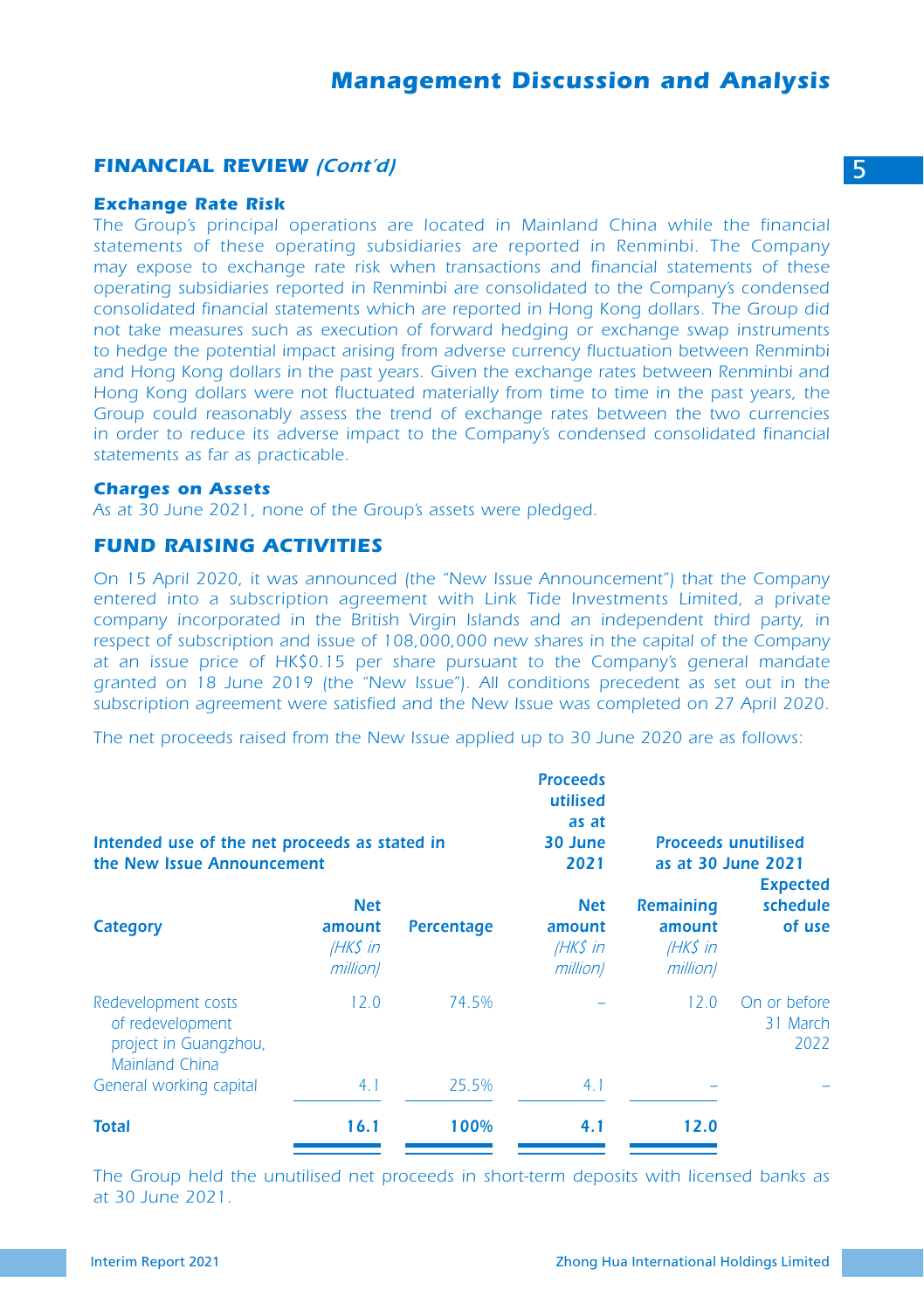#### *FINANCIAL REVIEW (Cont'd)* 5

#### *Exchange Rate Risk*

The Group's principal operations are located in Mainland China while the financial *statements of these operating subsidiaries are reported in Renminbi. The Company may expose to exchange rate risk when transactions and financial statements of these operating subsidiaries reported in Renminbi are consolidated to the Company's condensed consolidated financial statements which are reported in Hong Kong dollars. The Group did not take measures such as execution of forward hedging or exchange swap instruments*  to hedge the potential impact arising from adverse currency fluctuation between Renminbi *and Hong Kong dollars in the past years. Given the exchange rates between Renminbi and Hong Kong dollars were not fluctuated materially from time to time in the past years, the Group could reasonably assess the trend of exchange rates between the two currencies in order to reduce its adverse impact to the Company's condensed consolidated financial statements as far as practicable.*

#### *Charges on Assets*

*As at 30 June 2021, none of the Group's assets were pledged.*

#### *FUND RAISING ACTIVITIES*

*On 15 April 2020, it was announced (the "New Issue Announcement") that the Company entered into a subscription agreement with Link Tide Investments Limited, a private company incorporated in the British Virgin Islands and an independent third party, in respect of subscription and issue of 108,000,000 new shares in the capital of the Company at an issue price of HK\$0.15 per share pursuant to the Company's general mandate granted on 18 June 2019 (the "New Issue"). All conditions precedent as set out in the subscription agreement were satisfied and the New Issue was completed on 27 April 2020.*

*The net proceeds raised from the New Issue applied up to 30 June 2020 are as follows:*

| Intended use of the net proceeds as stated in<br>the New Issue Announcement        |                                              |            | <b>Proceeds</b><br>utilised<br>as at<br>30 June<br>2021 |                                                    | <b>Proceeds unutilised</b><br>as at 30 June 2021<br><b>Expected</b> |
|------------------------------------------------------------------------------------|----------------------------------------------|------------|---------------------------------------------------------|----------------------------------------------------|---------------------------------------------------------------------|
| Category                                                                           | <b>Net</b><br>amount<br>(HK\$ in<br>million) | Percentage | <b>Net</b><br>amount<br>$HKS$ in<br>million)            | <b>Remaining</b><br>amount<br>$HKS$ in<br>million) | schedule<br>of use                                                  |
| Redevelopment costs<br>of redevelopment<br>project in Guangzhou,<br>Mainland China | 12.0                                         | 74.5%      |                                                         | 12.0                                               | On or before<br>31 March<br>2022                                    |
| General working capital                                                            | 4.1                                          | 25.5%      | 4.1                                                     |                                                    |                                                                     |
| <b>Total</b>                                                                       | 16.1                                         | 100%       | 4.1                                                     | 12.0                                               |                                                                     |

*The Group held the unutilised net proceeds in short-term deposits with licensed banks as at 30 June 2021.*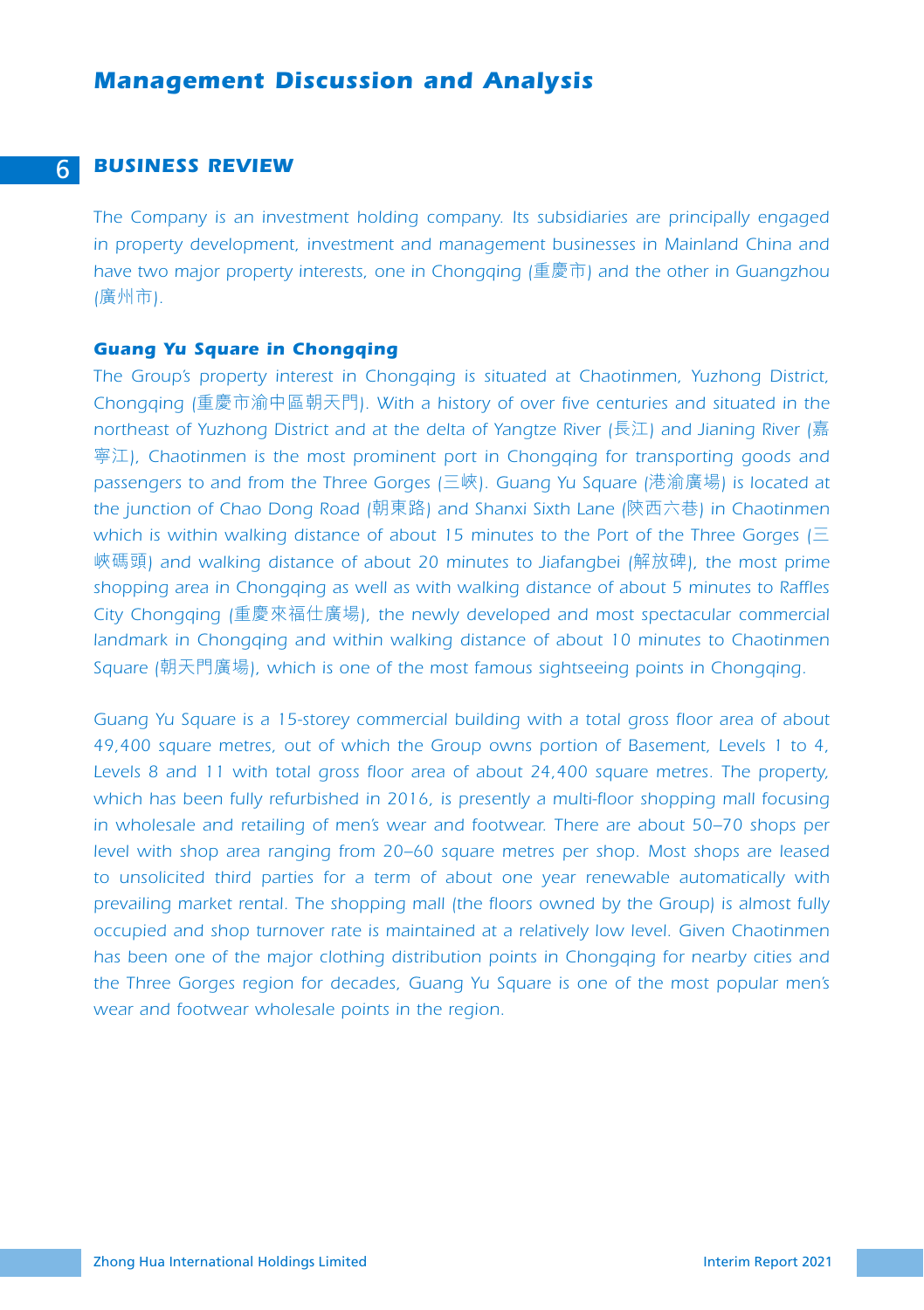#### 6 *BUSINESS REVIEW*

*The Company is an investment holding company. Its subsidiaries are principally engaged in property development, investment and management businesses in Mainland China and have two major property interests, one in Chongqing (*重慶市*) and the other in Guangzhou (*廣州市*).*

#### *Guang Yu Square in Chongqing*

*The Group's property interest in Chongqing is situated at Chaotinmen, Yuzhong District, Chongqing (*重慶市渝中區朝天門*). With a history of over five centuries and situated in the northeast of Yuzhong District and at the delta of Yangtze River (*長江*) and Jianing River (*嘉 寧江*), Chaotinmen is the most prominent port in Chongqing for transporting goods and passengers to and from the Three Gorges (*三峽*). Guang Yu Square (*港渝廣場*) is located at the junction of Chao Dong Road (*朝東路*) and Shanxi Sixth Lane (*陝西六巷*) in Chaotinmen which is within walking distance of about 15 minutes to the Port of the Three Gorges (*三 峽碼頭*) and walking distance of about 20 minutes to Jiafangbei (*解放碑*), the most prime shopping area in Chongqing as well as with walking distance of about 5 minutes to Raffles City Chongqing (*重慶來福仕廣場*), the newly developed and most spectacular commercial landmark in Chongqing and within walking distance of about 10 minutes to Chaotinmen Square (*朝天門廣場*), which is one of the most famous sightseeing points in Chongqing.*

*Guang Yu Square is a 15-storey commercial building with a total gross floor area of about 49,400 square metres, out of which the Group owns portion of Basement, Levels 1 to 4,*  Levels 8 and 11 with total gross floor area of about 24,400 square metres. The property, which has been fully refurbished in 2016, is presently a multi-floor shopping mall focusing *in wholesale and retailing of men's wear and footwear. There are about 50–70 shops per level with shop area ranging from 20–60 square metres per shop. Most shops are leased to unsolicited third parties for a term of about one year renewable automatically with prevailing market rental. The shopping mall (the floors owned by the Group) is almost fully occupied and shop turnover rate is maintained at a relatively low level. Given Chaotinmen has been one of the major clothing distribution points in Chongqing for nearby cities and the Three Gorges region for decades, Guang Yu Square is one of the most popular men's wear and footwear wholesale points in the region.*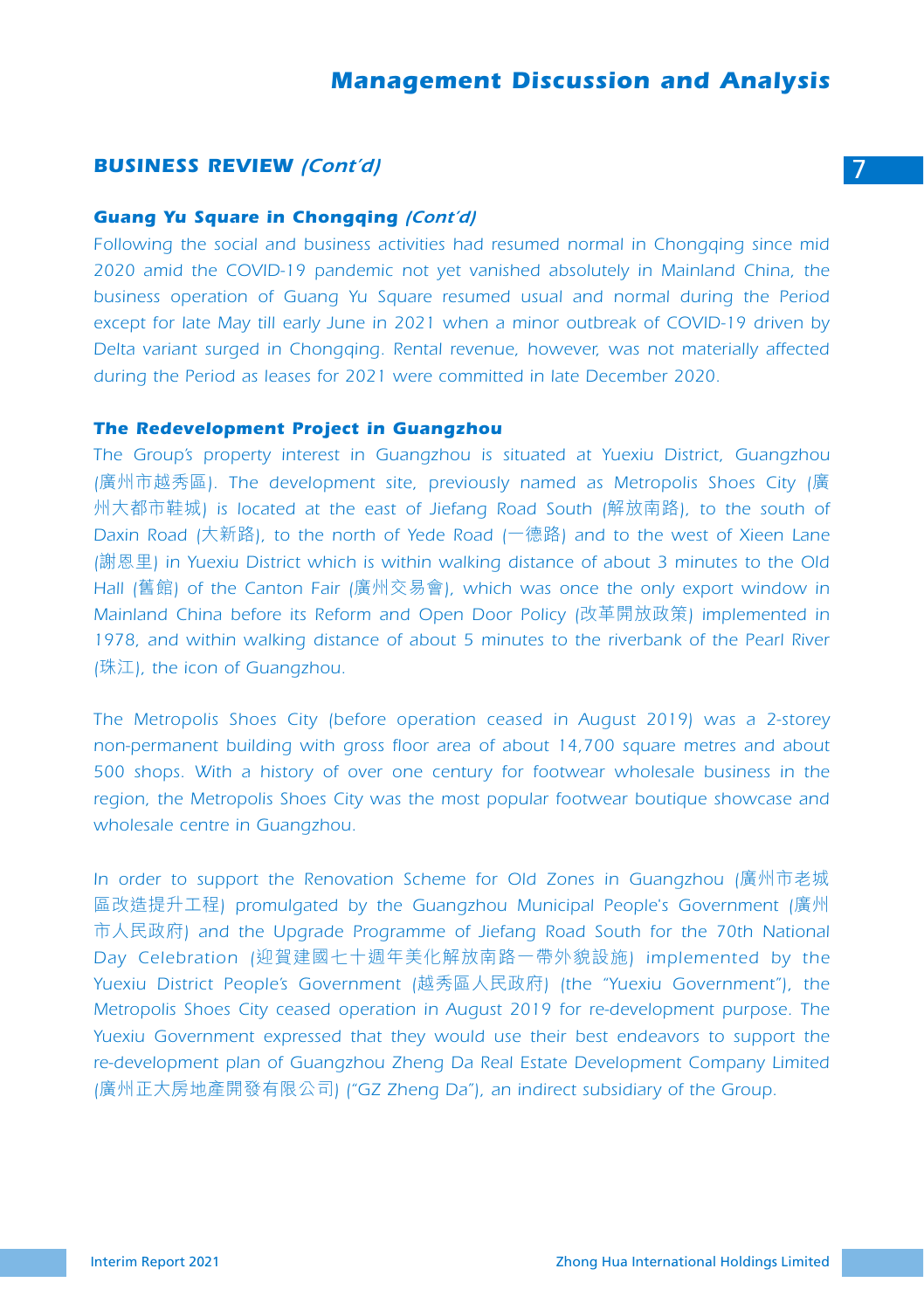#### **BUSINESS REVIEW** *(Cont'd)* 7

#### *Guang Yu Square in Chongqing (Cont'd)*

*Following the social and business activities had resumed normal in Chongqing since mid 2020 amid the COVID-19 pandemic not yet vanished absolutely in Mainland China, the business operation of Guang Yu Square resumed usual and normal during the Period except for late May till early June in 2021 when a minor outbreak of COVID-19 driven by Delta variant surged in Chongqing. Rental revenue, however, was not materially affected during the Period as leases for 2021 were committed in late December 2020.*

#### *The Redevelopment Project in Guangzhou*

*The Group's property interest in Guangzhou is situated at Yuexiu District, Guangzhou (*廣州市越秀區*). The development site, previously named as Metropolis Shoes City (*廣 州大都市鞋城*) is located at the east of Jiefang Road South (*解放南路*), to the south of Daxin Road (*大新路*), to the north of Yede Road (*一德路*) and to the west of Xieen Lane (*謝恩里*) in Yuexiu District which is within walking distance of about 3 minutes to the Old Hall (*舊館*) of the Canton Fair (*廣州交易會*), which was once the only export window in Mainland China before its Reform and Open Door Policy (*改革開放政策*) implemented in*  1978, and within walking distance of about 5 minutes to the riverbank of the Pearl River *(*珠江*), the icon of Guangzhou.*

*The Metropolis Shoes City (before operation ceased in August 2019) was a 2-storey non-permanent building with gross floor area of about 14,700 square metres and about 500 shops. With a history of over one century for footwear wholesale business in the region, the Metropolis Shoes City was the most popular footwear boutique showcase and wholesale centre in Guangzhou.*

*In order to support the Renovation Scheme for Old Zones in Guangzhou (*廣州市老城 區改造提升工程*) promulgated by the Guangzhou Municipal People's Government (*廣州 市人民政府*) and the Upgrade Programme of Jiefang Road South for the 70th National Day Celebration (*迎賀建國七十週年美化解放南路一帶外貌設施*) implemented by the Yuexiu District People's Government (*越秀區人民政府*) (the "Yuexiu Government"), the Metropolis Shoes City ceased operation in August 2019 for re-development purpose. The Yuexiu Government expressed that they would use their best endeavors to support the re-development plan of Guangzhou Zheng Da Real Estate Development Company Limited (*廣州正大房地產開發有限公司*) ("GZ Zheng Da"), an indirect subsidiary of the Group.*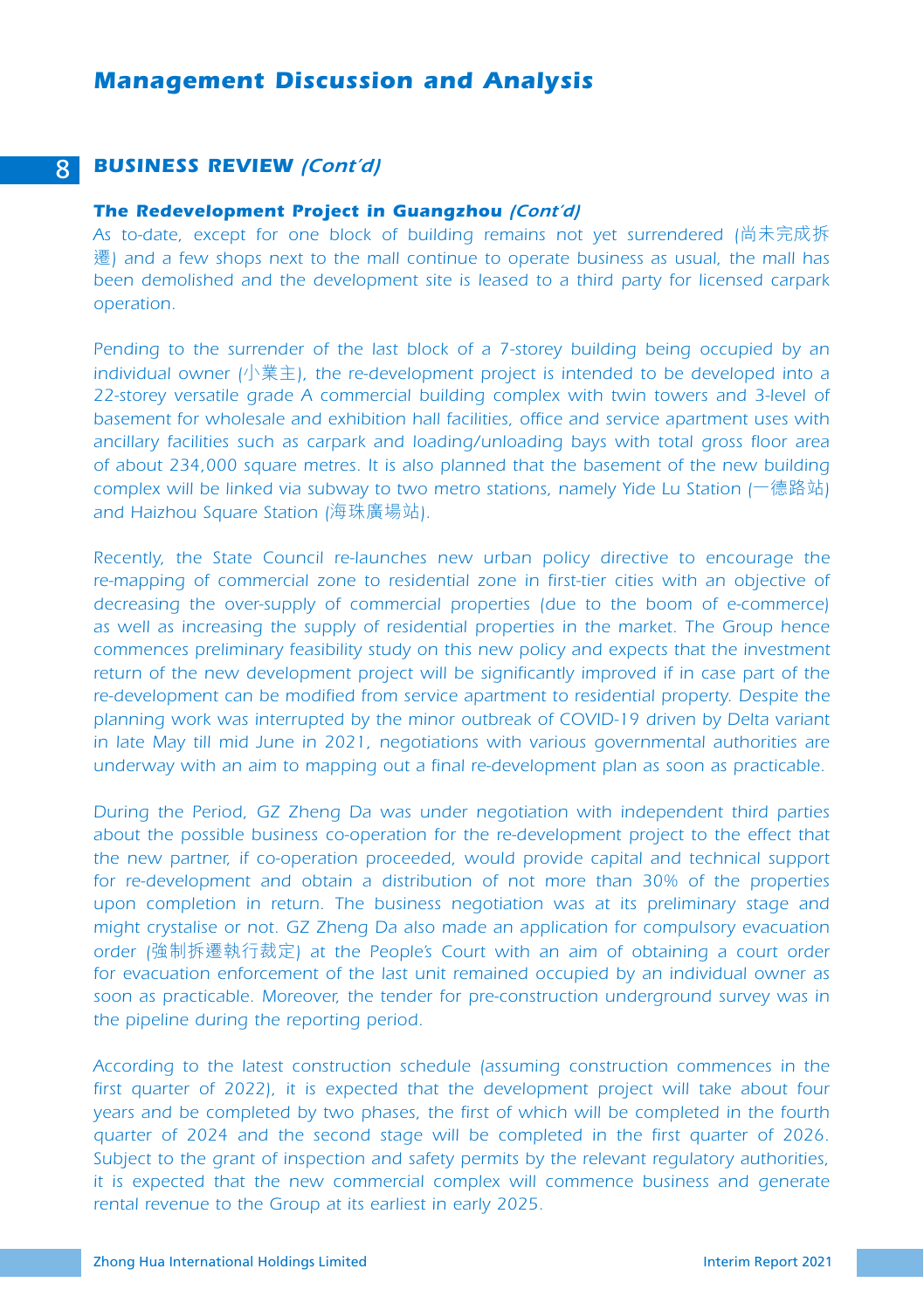#### 8 *BUSINESS REVIEW (Cont'd)*

#### *The Redevelopment Project in Guangzhou (Cont'd)*

*As to-date, except for one block of building remains not yet surrendered (*尚未完成拆 遷*) and a few shops next to the mall continue to operate business as usual, the mall has been demolished and the development site is leased to a third party for licensed carpark operation.*

*Pending to the surrender of the last block of a 7-storey building being occupied by an individual owner (*小業主*), the re-development project is intended to be developed into a 22-storey versatile grade A commercial building complex with twin towers and 3-level of basement for wholesale and exhibition hall facilities, office and service apartment uses with ancillary facilities such as carpark and loading/unloading bays with total gross floor area of about 234,000 square metres. It is also planned that the basement of the new building complex will be linked via subway to two metro stations, namely Yide Lu Station (*一德路站*) and Haizhou Square Station (*海珠廣場站*).*

*Recently, the State Council re-launches new urban policy directive to encourage the*  re-mapping of commercial zone to residential zone in first-tier cities with an objective of *decreasing the over-supply of commercial properties (due to the boom of e-commerce) as well as increasing the supply of residential properties in the market. The Group hence commences preliminary feasibility study on this new policy and expects that the investment*  return of the new development project will be significantly improved if in case part of the *re-development can be modified from service apartment to residential property. Despite the planning work was interrupted by the minor outbreak of COVID-19 driven by Delta variant in late May till mid June in 2021, negotiations with various governmental authorities are underway with an aim to mapping out a final re-development plan as soon as practicable.*

*During the Period, GZ Zheng Da was under negotiation with independent third parties*  about the possible business co-operation for the re-development project to the effect that *the new partner, if co-operation proceeded, would provide capital and technical support for re-development and obtain a distribution of not more than 30% of the properties upon completion in return. The business negotiation was at its preliminary stage and might crystalise or not. GZ Zheng Da also made an application for compulsory evacuation order (*強制拆遷執行裁定*) at the People's Court with an aim of obtaining a court order for evacuation enforcement of the last unit remained occupied by an individual owner as soon as practicable. Moreover, the tender for pre-construction underground survey was in the pipeline during the reporting period.*

*According to the latest construction schedule (assuming construction commences in the*  first quarter of 2022), it is expected that the development project will take about four *years and be completed by two phases, the first of which will be completed in the fourth*  quarter of 2024 and the second stage will be completed in the first quarter of 2026. *Subject to the grant of inspection and safety permits by the relevant regulatory authorities, it is expected that the new commercial complex will commence business and generate rental revenue to the Group at its earliest in early 2025.*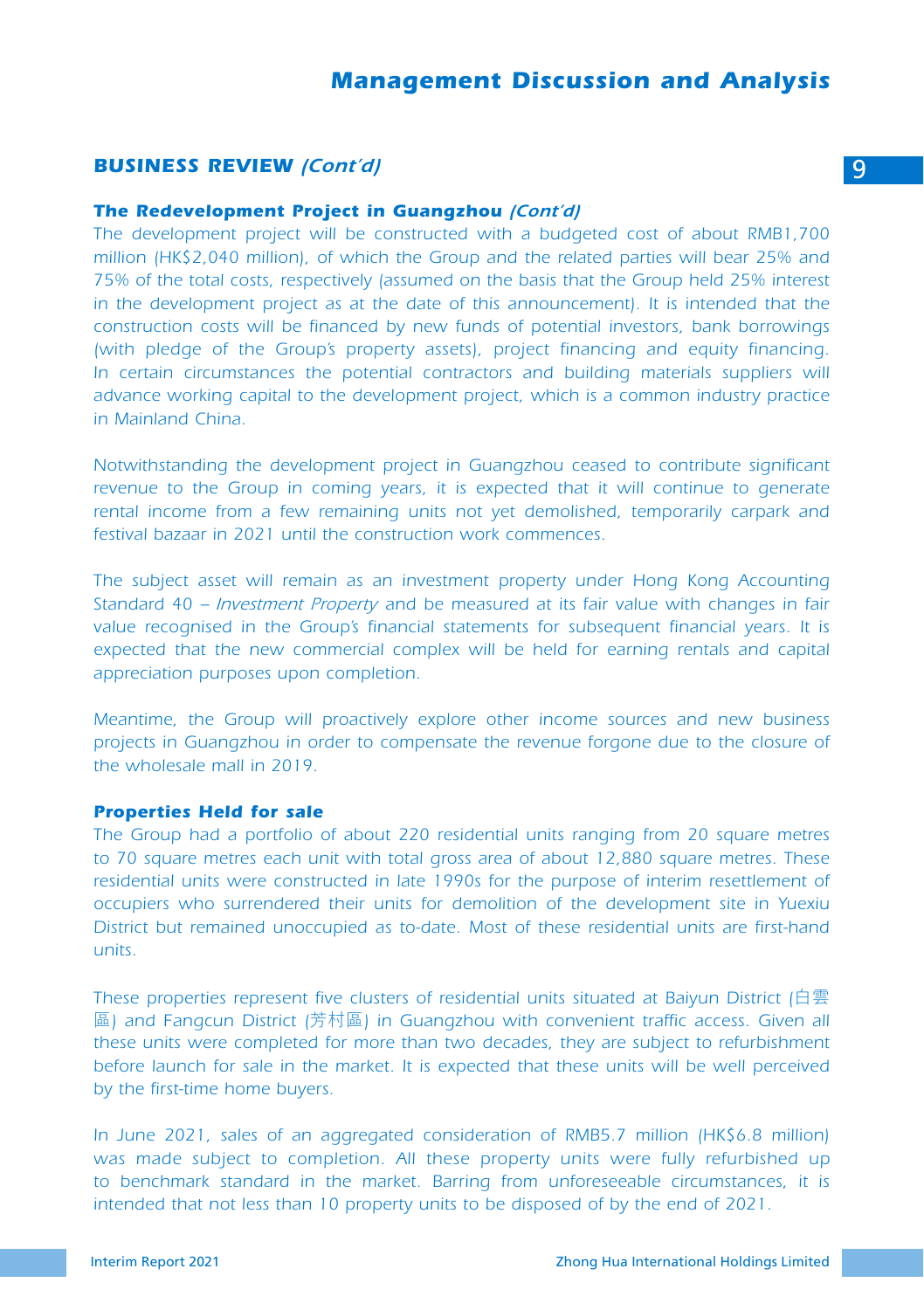#### *BUSINESS REVIEW (Cont'd)* 9

#### *The Redevelopment Project in Guangzhou (Cont'd)*

*The development project will be constructed with a budgeted cost of about RMB1,700 million (HK\$2,040 million), of which the Group and the related parties will bear 25% and 75% of the total costs, respectively (assumed on the basis that the Group held 25% interest in the development project as at the date of this announcement). It is intended that the construction costs will be financed by new funds of potential investors, bank borrowings (with pledge of the Group's property assets), project financing and equity financing.*  In certain circumstances the potential contractors and building materials suppliers will *advance working capital to the development project, which is a common industry practice in Mainland China.*

*Notwithstanding the development project in Guangzhou ceased to contribute significant revenue to the Group in coming years, it is expected that it will continue to generate*  rental income from a few remaining units not yet demolished, temporarily carpark and *festival bazaar in 2021 until the construction work commences.*

*The subject asset will remain as an investment property under Hong Kong Accounting Standard 40 – Investment Property and be measured at its fair value with changes in fair value recognised in the Group's financial statements for subsequent financial years. It is*  expected that the new commercial complex will be held for earning rentals and capital *appreciation purposes upon completion.*

*Meantime, the Group will proactively explore other income sources and new business projects in Guangzhou in order to compensate the revenue forgone due to the closure of the wholesale mall in 2019.*

#### *Properties Held for sale*

*The Group had a portfolio of about 220 residential units ranging from 20 square metres to 70 square metres each unit with total gross area of about 12,880 square metres. These*  residential units were constructed in late 1990s for the purpose of interim resettlement of *occupiers who surrendered their units for demolition of the development site in Yuexiu District but remained unoccupied as to-date. Most of these residential units are first-hand units.*

*These properties represent five clusters of residential units situated at Baiyun District (*白雲 區*) and Fangcun District (*芳村區*) in Guangzhou with convenient traffic access. Given all these units were completed for more than two decades, they are subject to refurbishment*  before launch for sale in the market. It is expected that these units will be well perceived *by the first-time home buyers.*

In June 2021, sales of an aggregated consideration of RMB5.7 million (HK\$6.8 million) was made subject to completion. All these property units were fully refurbished up to benchmark standard in the market. Barring from unforeseeable circumstances, it is *intended that not less than 10 property units to be disposed of by the end of 2021.*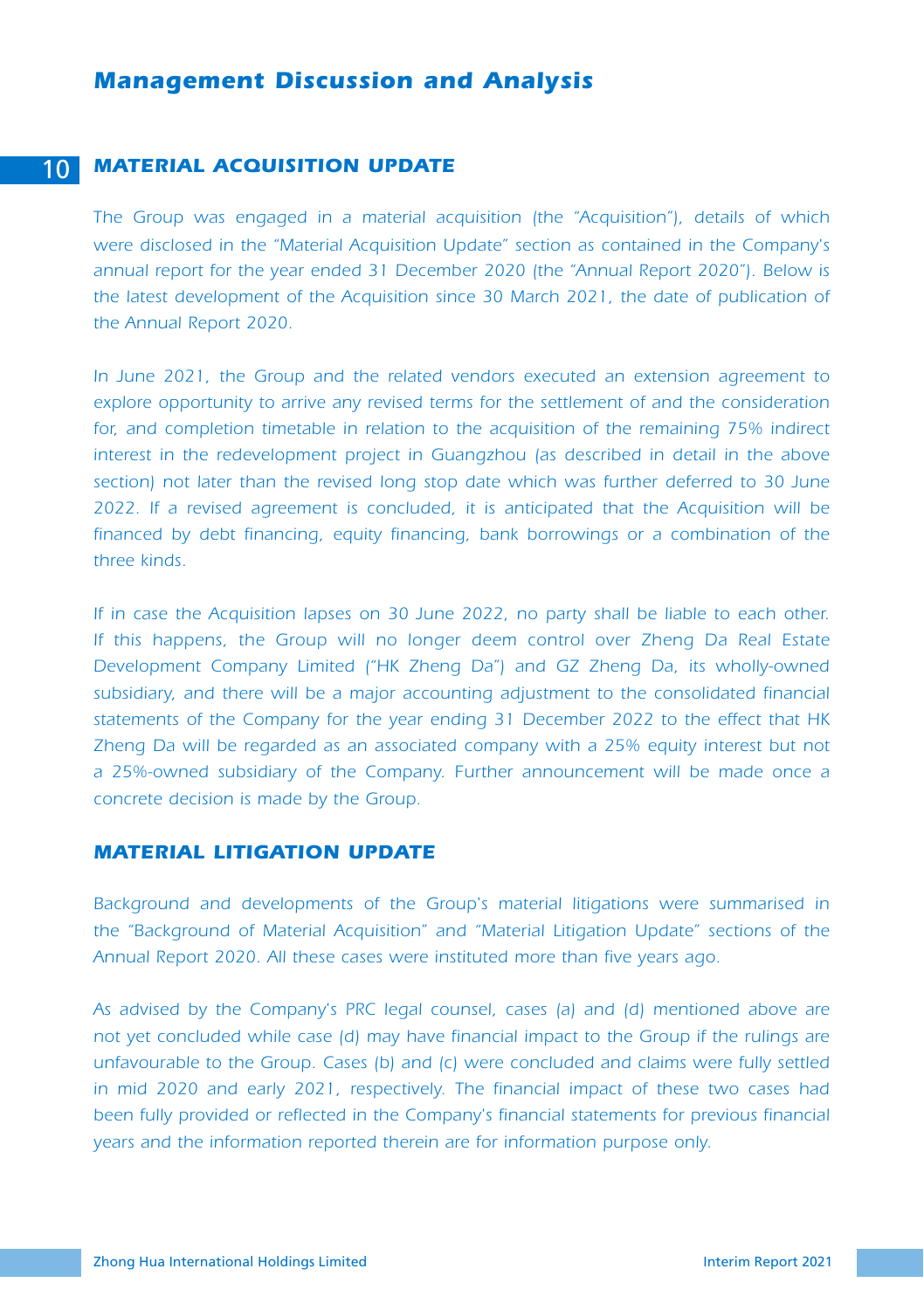#### 10 *MATERIAL ACQUISITION UPDATE*

*The Group was engaged in a material acquisition (the "Acquisition"), details of which were disclosed in the "Material Acquisition Update" section as contained in the Company's annual report for the year ended 31 December 2020 (the "Annual Report 2020"). Below is*  the latest development of the Acquisition since 30 March 2021, the date of publication of *the Annual Report 2020.* 

*In June 2021, the Group and the related vendors executed an extension agreement to explore opportunity to arrive any revised terms for the settlement of and the consideration*  for, and completion timetable in relation to the acquisition of the remaining 75% indirect *interest in the redevelopment project in Guangzhou (as described in detail in the above section) not later than the revised long stop date which was further deferred to 30 June 2022. If a revised agreement is concluded, it is anticipated that the Acquisition will be*  financed by debt financing, equity financing, bank borrowings or a combination of the *three kinds.*

*If in case the Acquisition lapses on 30 June 2022, no party shall be liable to each other. If this happens, the Group will no longer deem control over Zheng Da Real Estate Development Company Limited ("HK Zheng Da") and GZ Zheng Da, its wholly-owned subsidiary, and there will be a major accounting adjustment to the consolidated financial statements of the Company for the year ending 31 December 2022 to the effect that HK Zheng Da will be regarded as an associated company with a 25% equity interest but not a 25%-owned subsidiary of the Company. Further announcement will be made once a concrete decision is made by the Group.*

#### *MATERIAL LITIGATION UPDATE*

*Background and developments of the Group's material litigations were summarised in the "Background of Material Acquisition" and "Material Litigation Update" sections of the Annual Report 2020. All these cases were instituted more than five years ago.*

*As advised by the Company's PRC legal counsel, cases (a) and (d) mentioned above are not yet concluded while case (d) may have financial impact to the Group if the rulings are unfavourable to the Group. Cases (b) and (c) were concluded and claims were fully settled in mid 2020 and early 2021, respectively. The financial impact of these two cases had been fully provided or reflected in the Company's financial statements for previous financial years and the information reported therein are for information purpose only.*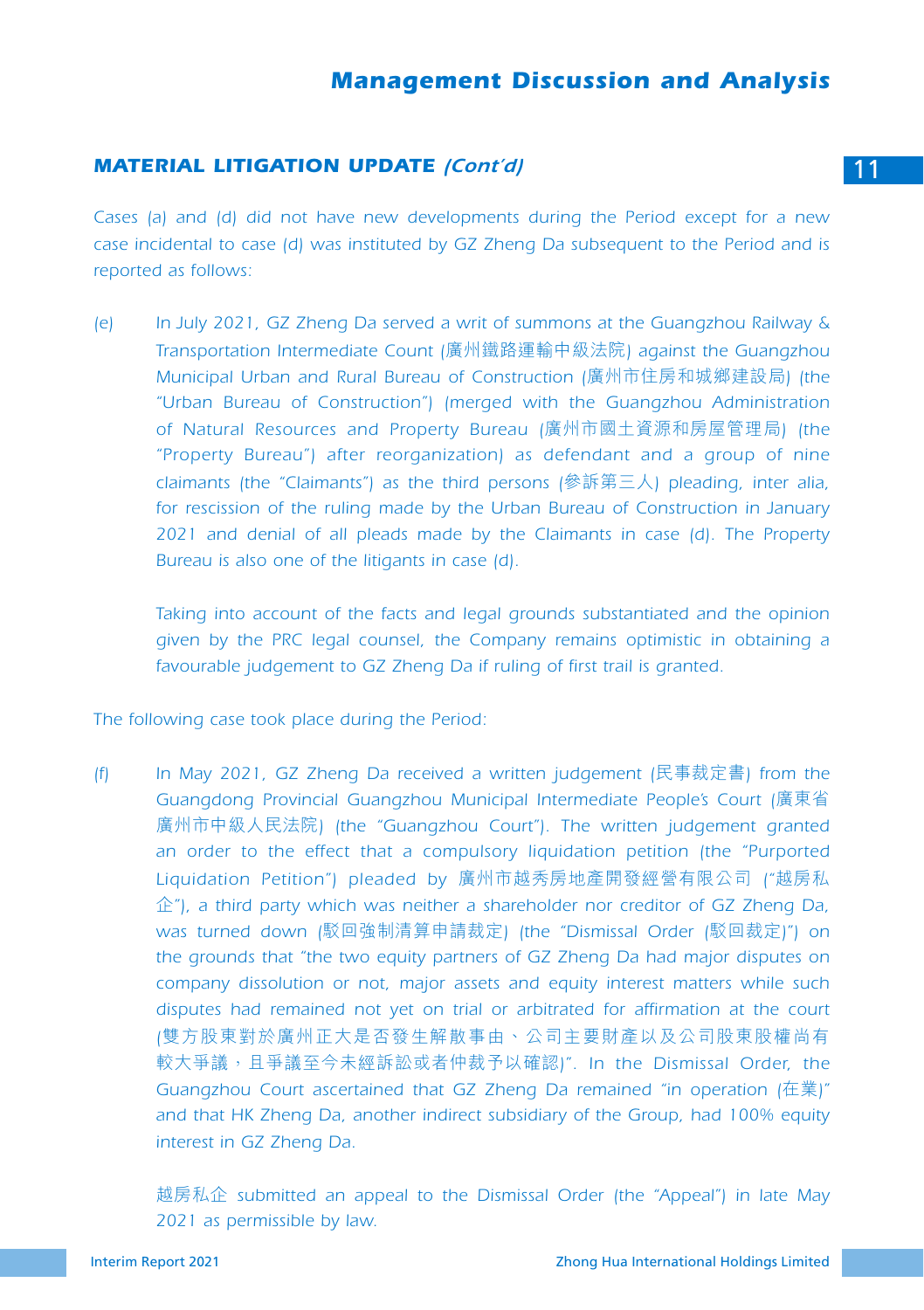#### **MATERIAL LITIGATION UPDATE** *(Cont'd)* 11 **11**

*Cases (a) and (d) did not have new developments during the Period except for a new case incidental to case (d) was instituted by GZ Zheng Da subsequent to the Period and is reported as follows:*

*(e) In July 2021, GZ Zheng Da served a writ of summons at the Guangzhou Railway & Transportation Intermediate Count (*廣州鐵路運輸中級法院*) against the Guangzhou Municipal Urban and Rural Bureau of Construction (*廣州市住房和城鄉建設局*) (the "Urban Bureau of Construction") (merged with the Guangzhou Administration of Natural Resources and Property Bureau (*廣州市國土資源和房屋管理局*) (the "Property Bureau") after reorganization) as defendant and a group of nine claimants (the "Claimants") as the third persons (*參訴第三人*) pleading, inter alia, for rescission of the ruling made by the Urban Bureau of Construction in January 2021 and denial of all pleads made by the Claimants in case (d). The Property Bureau is also one of the litigants in case (d).*

*Taking into account of the facts and legal grounds substantiated and the opinion given by the PRC legal counsel, the Company remains optimistic in obtaining a favourable judgement to GZ Zheng Da if ruling of first trail is granted.*

*The following case took place during the Period:*

*(f) In May 2021, GZ Zheng Da received a written judgement (*民事裁定書*) from the Guangdong Provincial Guangzhou Municipal Intermediate People's Court (*廣東省 廣州市中級人民法院*) (the "Guangzhou Court"). The written judgement granted*  an order to the effect that a compulsory liquidation petition (the "Purported *Liquidation Petition") pleaded by* 廣州市越秀房地產開發經營有限公司 *("*越房私 企*"), a third party which was neither a shareholder nor creditor of GZ Zheng Da, was turned down (*駁回強制清算申請裁定*) (the "Dismissal Order (*駁回裁定*)") on the grounds that "the two equity partners of GZ Zheng Da had major disputes on company dissolution or not, major assets and equity interest matters while such disputes had remained not yet on trial or arbitrated for affirmation at the court (*雙方股東對於廣州正大是否發生解散事由丶公司主要財產以及公司股東股權尚有 較大爭議,且爭議至今未經訴訟或者仲裁予以確認*)". In the Dismissal Order, the Guangzhou Court ascertained that GZ Zheng Da remained "in operation (*在業*)" and that HK Zheng Da, another indirect subsidiary of the Group, had 100% equity interest in GZ Zheng Da.*

越房私企 *submitted an appeal to the Dismissal Order (the "Appeal") in late May 2021 as permissible by law.*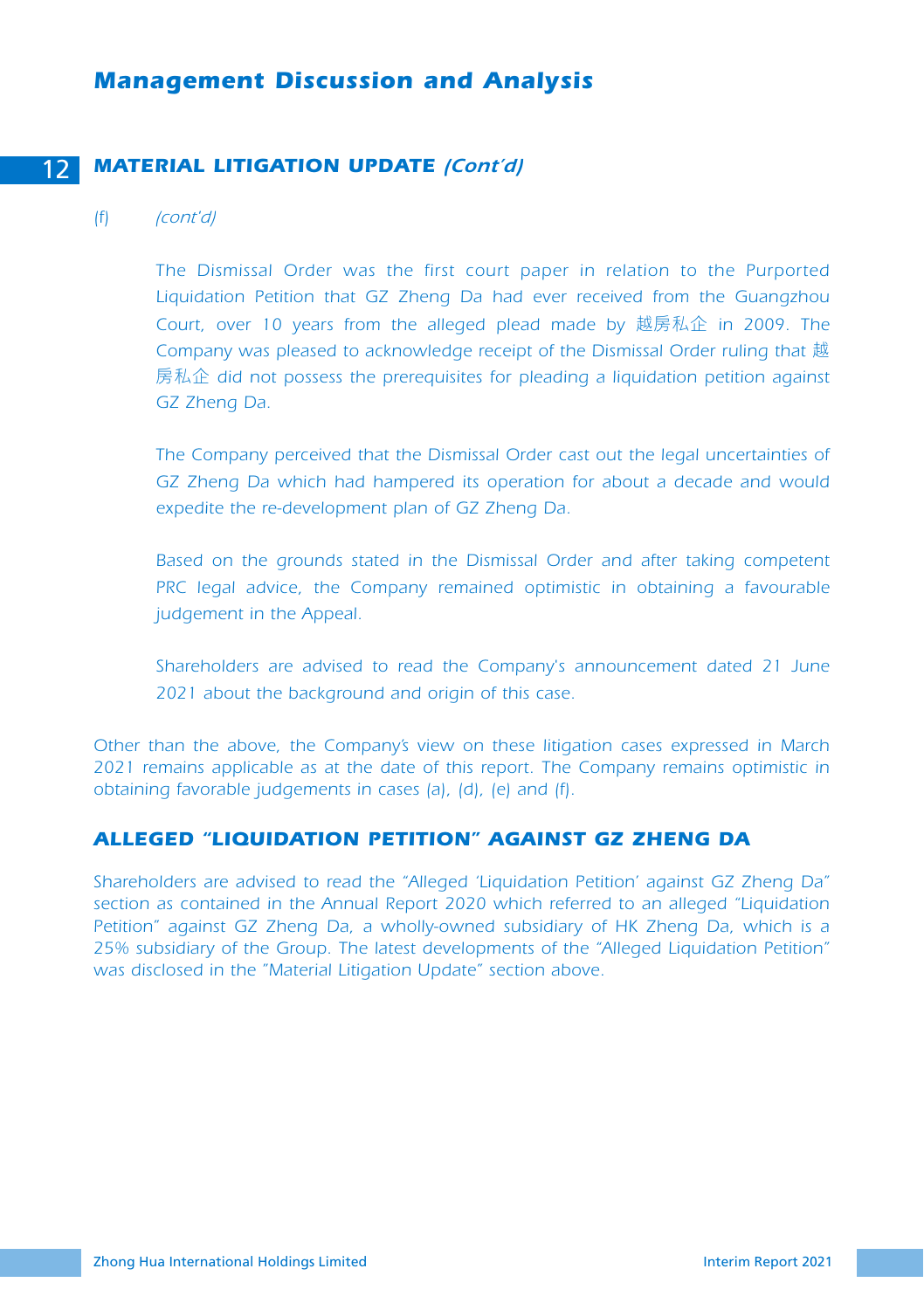### 12 *MATERIAL LITIGATION UPDATE (Cont'd)*

#### *(f) (cont'd)*

*The Dismissal Order was the first court paper in relation to the Purported Liquidation Petition that GZ Zheng Da had ever received from the Guangzhou Court, over 10 years from the alleged plead made by* 越房私企 *in 2009. The*  Company was pleased to acknowledge receipt of the Dismissal Order ruling that 越 房私企 *did not possess the prerequisites for pleading a liquidation petition against GZ Zheng Da.*

*The Company perceived that the Dismissal Order cast out the legal uncertainties of GZ Zheng Da which had hampered its operation for about a decade and would expedite the re-development plan of GZ Zheng Da.*

*Based on the grounds stated in the Dismissal Order and after taking competent PRC legal advice, the Company remained optimistic in obtaining a favourable judgement in the Appeal.*

*Shareholders are advised to read the Company's announcement dated 21 June 2021 about the background and origin of this case.*

*Other than the above, the Company's view on these litigation cases expressed in March 2021 remains applicable as at the date of this report. The Company remains optimistic in obtaining favorable judgements in cases (a), (d), (e) and (f).*

# *ALLEGED "LIQUIDATION PETITION" AGAINST GZ ZHENG DA*

*Shareholders are advised to read the "Alleged 'Liquidation Petition' against GZ Zheng Da" section as contained in the Annual Report 2020 which referred to an alleged "Liquidation Petition" against GZ Zheng Da, a wholly-owned subsidiary of HK Zheng Da, which is a 25% subsidiary of the Group. The latest developments of the "Alleged Liquidation Petition" was disclosed in the "Material Litigation Update" section above.*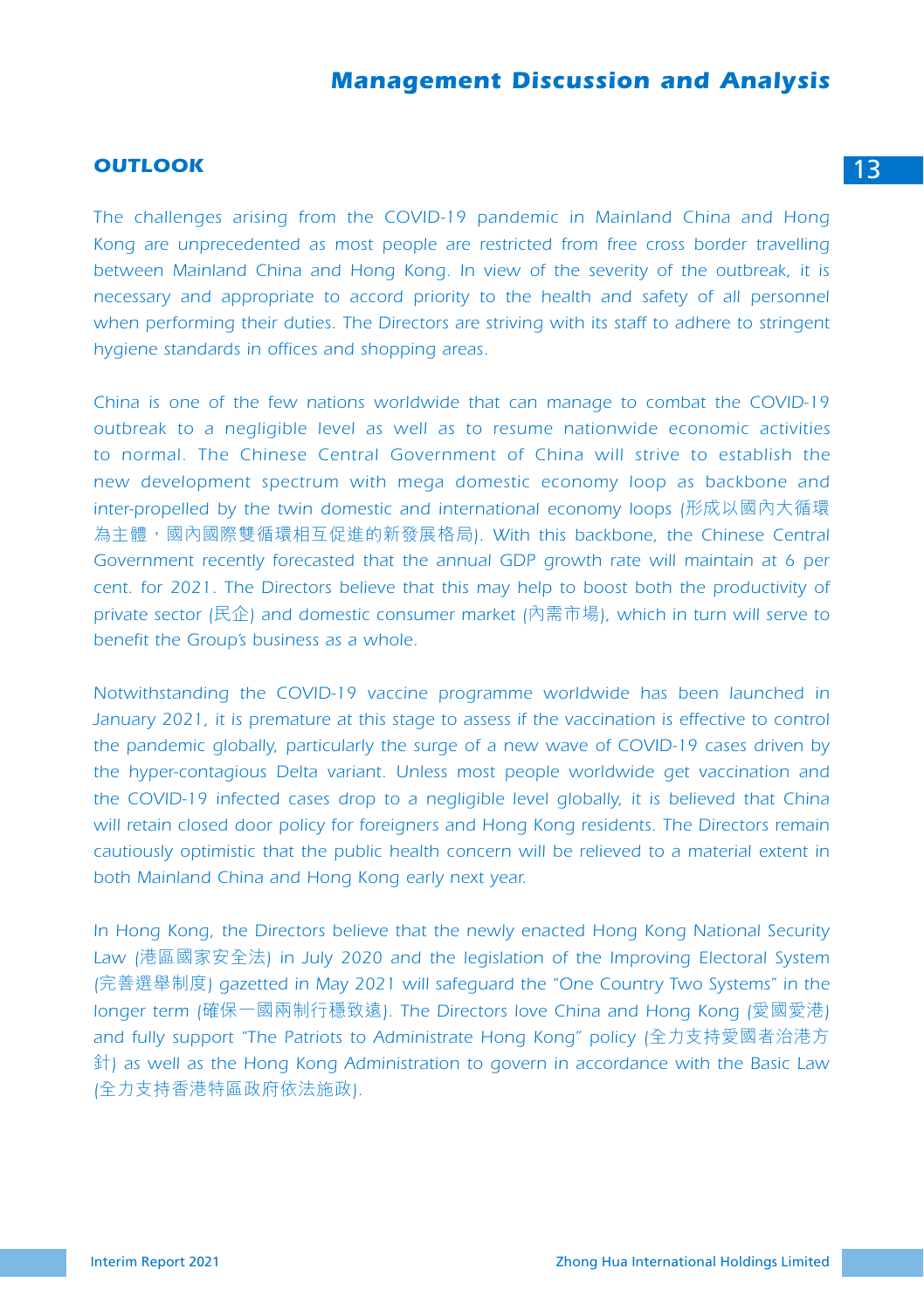# **OUTLOOK** 13

*The challenges arising from the COVID-19 pandemic in Mainland China and Hong Kong are unprecedented as most people are restricted from free cross border travelling*  between Mainland China and Hong Kong. In view of the severity of the outbreak, it is *necessary and appropriate to accord priority to the health and safety of all personnel when performing their duties. The Directors are striving with its staff to adhere to stringent hygiene standards in offices and shopping areas.*

*China is one of the few nations worldwide that can manage to combat the COVID-19 outbreak to a negligible level as well as to resume nationwide economic activities*  to normal. The Chinese Central Government of China will strive to establish the *new development spectrum with mega domestic economy loop as backbone and inter-propelled by the twin domestic and international economy loops (*形成以國內大循環 為主體,國內國際雙循環相互促進的新發展格局*). With this backbone, the Chinese Central Government recently forecasted that the annual GDP growth rate will maintain at 6 per cent. for 2021. The Directors believe that this may help to boost both the productivity of private sector (*民企*) and domestic consumer market (*內需市場*), which in turn will serve to benefit the Group's business as a whole.*

*Notwithstanding the COVID-19 vaccine programme worldwide has been launched in*  January 2021, it is premature at this stage to assess if the vaccination is effective to control *the pandemic globally, particularly the surge of a new wave of COVID-19 cases driven by the hyper-contagious Delta variant. Unless most people worldwide get vaccination and the COVID-19 infected cases drop to a negligible level globally, it is believed that China will retain closed door policy for foreigners and Hong Kong residents. The Directors remain cautiously optimistic that the public health concern will be relieved to a material extent in both Mainland China and Hong Kong early next year.*

*In Hong Kong, the Directors believe that the newly enacted Hong Kong National Security Law (*港區國家安全法*) in July 2020 and the legislation of the Improving Electoral System (*完善選舉制度*) gazetted in May 2021 will safeguard the "One Country Two Systems" in the longer term (*確保一國兩制行穩致遠*). The Directors love China and Hong Kong (*愛國愛港*) and fully support "The Patriots to Administrate Hong Kong" policy (*全力支持愛國者治港方 針*) as well as the Hong Kong Administration to govern in accordance with the Basic Law (*全力支持香港特區政府依法施政*).*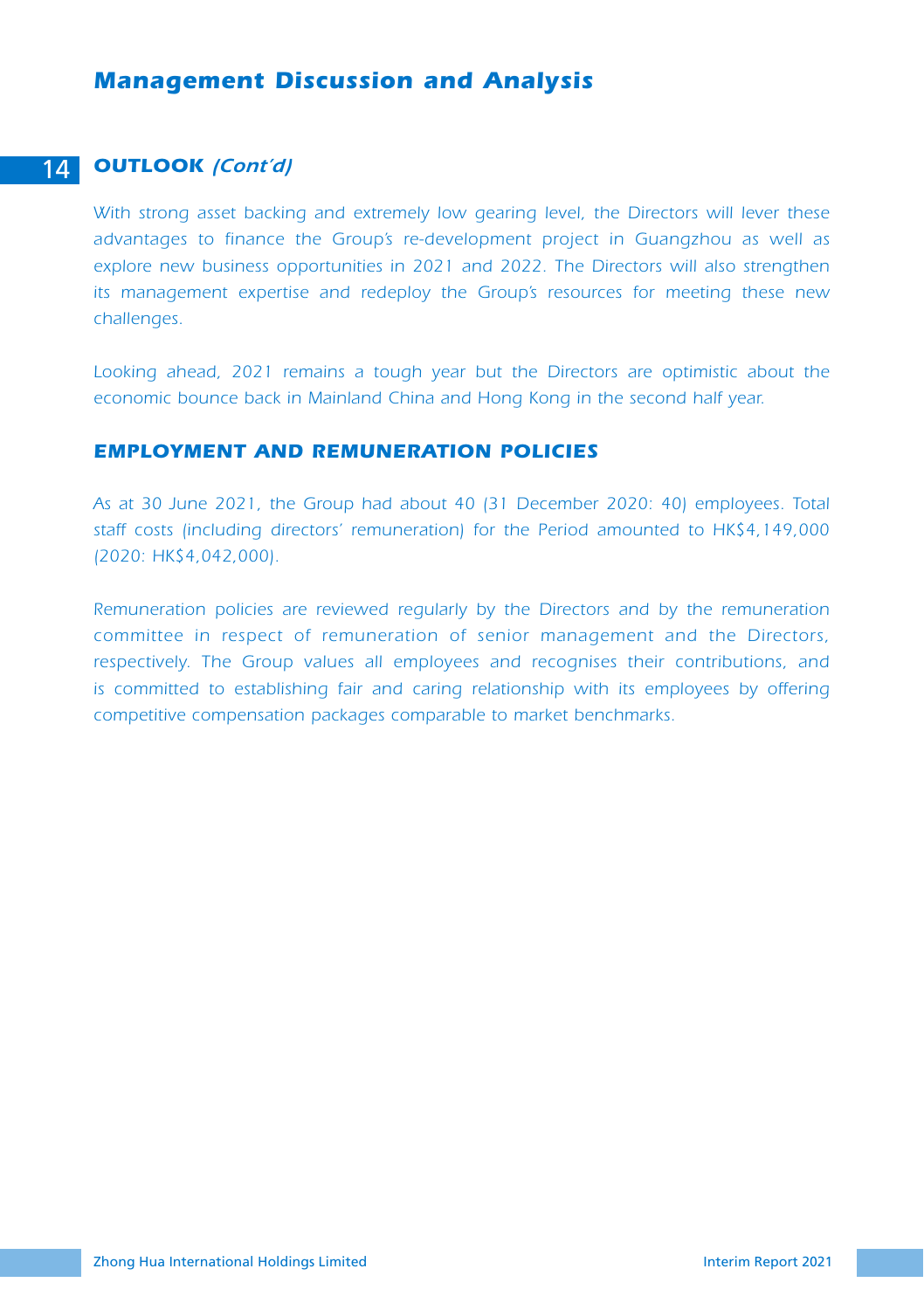#### 14 *OUTLOOK (Cont'd)*

*With strong asset backing and extremely low gearing level, the Directors will lever these advantages to finance the Group's re-development project in Guangzhou as well as explore new business opportunities in 2021 and 2022. The Directors will also strengthen its management expertise and redeploy the Group's resources for meeting these new challenges.*

Looking ahead, 2021 remains a tough year but the Directors are optimistic about the *economic bounce back in Mainland China and Hong Kong in the second half year.*

#### *EMPLOYMENT AND REMUNERATION POLICIES*

*As at 30 June 2021, the Group had about 40 (31 December 2020: 40) employees. Total staff costs (including directors' remuneration) for the Period amounted to HK\$4,149,000 (2020: HK\$4,042,000).*

*Remuneration policies are reviewed regularly by the Directors and by the remuneration committee in respect of remuneration of senior management and the Directors, respectively. The Group values all employees and recognises their contributions, and is committed to establishing fair and caring relationship with its employees by offering competitive compensation packages comparable to market benchmarks.*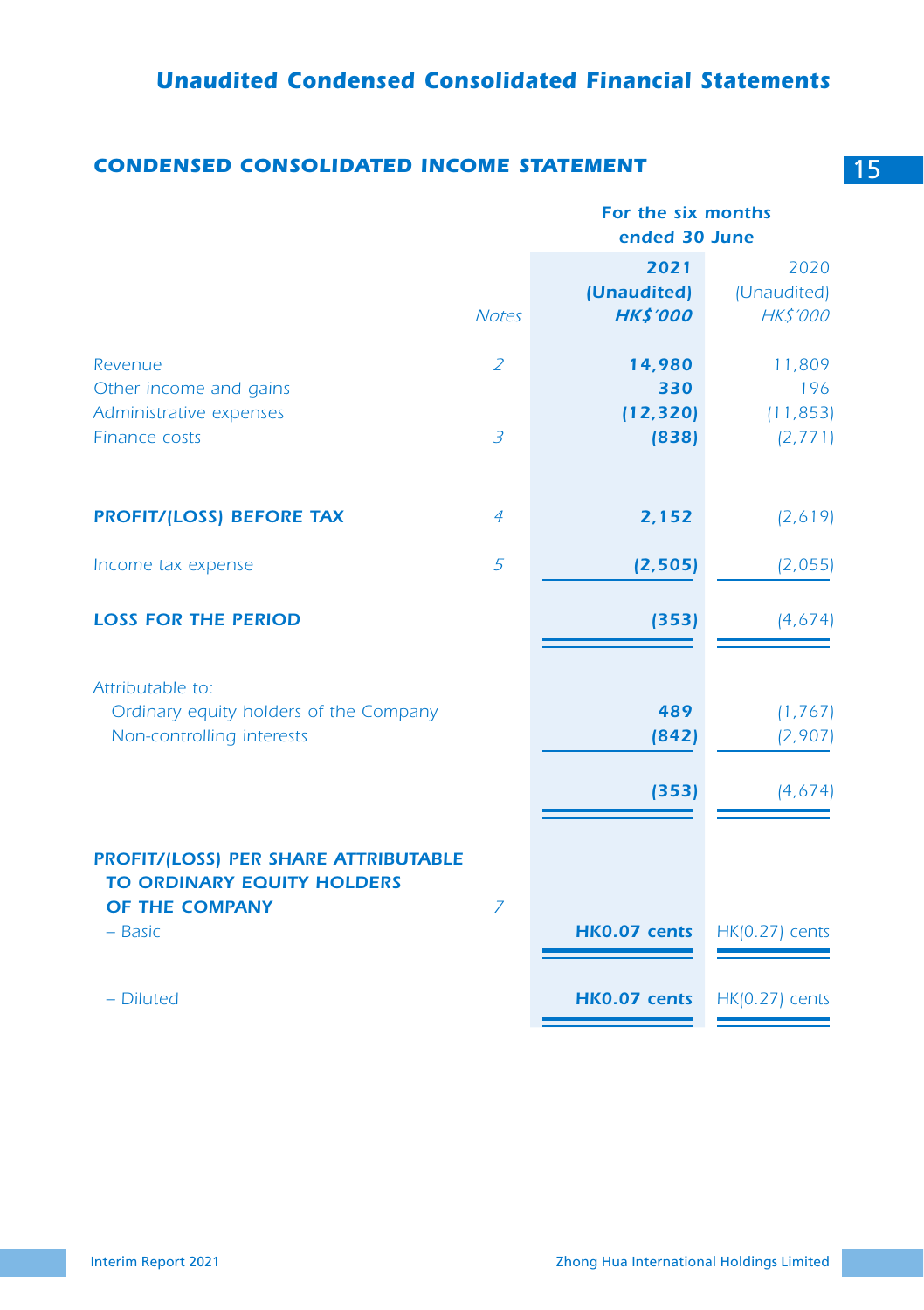# **CONDENSED CONSOLIDATED INCOME STATEMENT** 15

|                                                                                                                 |                | For the six months<br>ended 30 June    |                                        |  |
|-----------------------------------------------------------------------------------------------------------------|----------------|----------------------------------------|----------------------------------------|--|
|                                                                                                                 | <b>Notes</b>   | 2021<br>(Unaudited)<br><b>HK\$'000</b> | 2020<br>(Unaudited)<br><b>HK\$'000</b> |  |
| Revenue<br>Other income and gains                                                                               | $\overline{z}$ | 14,980<br>330                          | 11,809<br>196                          |  |
| Administrative expenses<br>Finance costs                                                                        | $\overline{3}$ | (12, 320)<br>(838)                     | (11, 853)<br>(2, 771)                  |  |
| <b>PROFIT/(LOSS) BEFORE TAX</b>                                                                                 | $\overline{4}$ | 2,152                                  | (2,619)                                |  |
| Income tax expense                                                                                              | 5              | (2, 505)                               | (2,055)                                |  |
| <b>LOSS FOR THE PERIOD</b>                                                                                      |                | (353)                                  | (4,674)                                |  |
| Attributable to:<br>Ordinary equity holders of the Company<br>Non-controlling interests                         |                | 489<br>(842)<br>(353)                  | (1, 767)<br>(2,907)<br>(4,674)         |  |
| <b>PROFIT/(LOSS) PER SHARE ATTRIBUTABLE</b><br><b>TO ORDINARY EQUITY HOLDERS</b><br>OF THE COMPANY<br>$-$ Basic | $\overline{z}$ | HK0.07 cents                           | $HK(0.27)$ cents                       |  |
| - Diluted                                                                                                       |                | HK0.07 cents                           | <b>HK(0.27)</b> cents                  |  |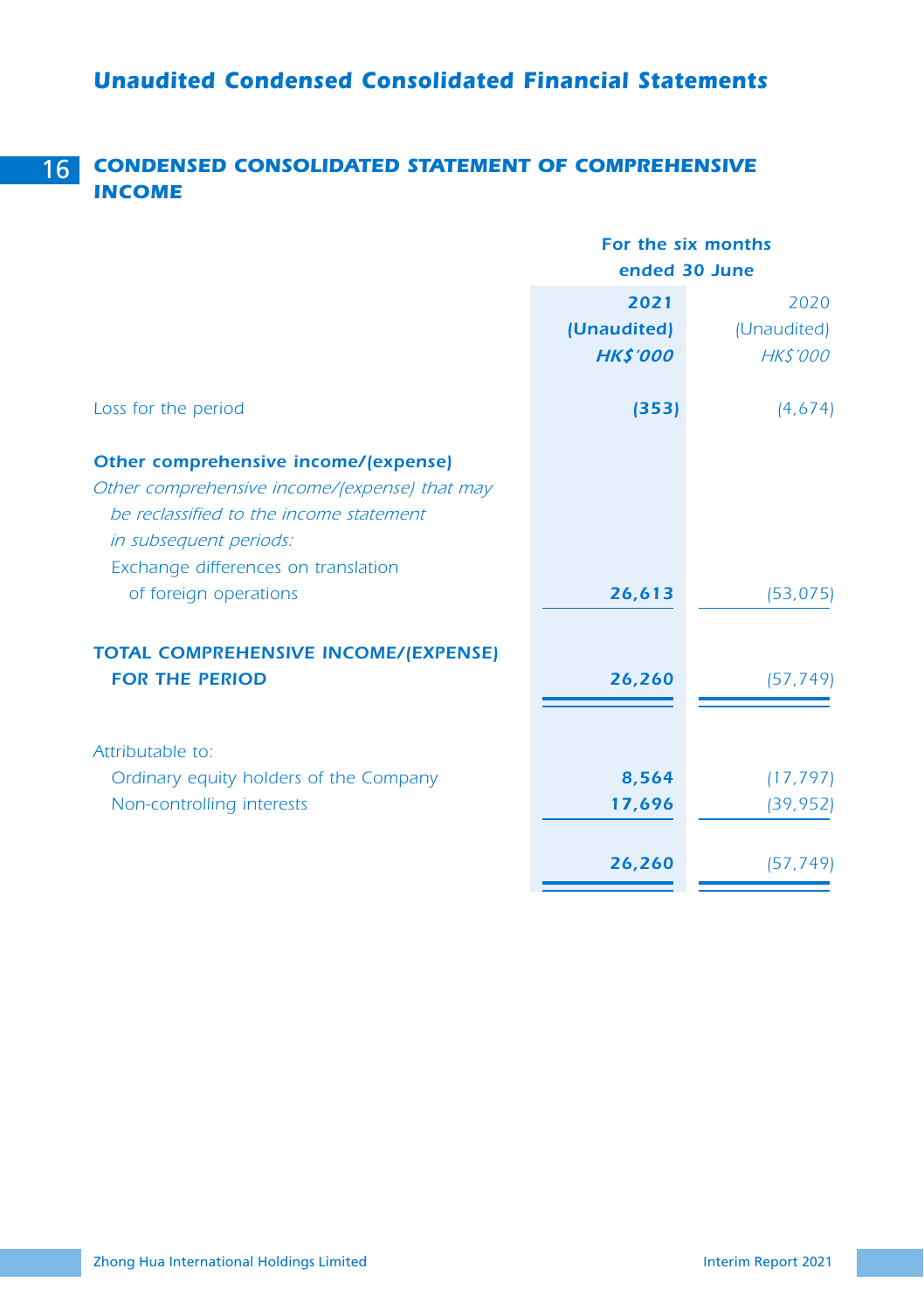# 16 *CONDENSED CONSOLIDATED STATEMENT OF COMPREHENSIVE INCOME*

|                                                                                                                                                                                                                            | For the six months<br>ended 30 June    |                                       |  |
|----------------------------------------------------------------------------------------------------------------------------------------------------------------------------------------------------------------------------|----------------------------------------|---------------------------------------|--|
|                                                                                                                                                                                                                            | 2021<br>(Unaudited)<br><b>HK\$'000</b> | 2020<br>(Unaudited)<br><b>HKS'000</b> |  |
| Loss for the period                                                                                                                                                                                                        | (353)                                  | (4,674)                               |  |
| Other comprehensive income/(expense)<br>Other comprehensive income/(expense) that may<br>be reclassified to the income statement<br>in subsequent periods:<br>Exchange differences on translation<br>of foreign operations | 26,613                                 | (53, 075)                             |  |
| <b>TOTAL COMPREHENSIVE INCOME/(EXPENSE)</b><br><b>FOR THE PERIOD</b>                                                                                                                                                       | 26,260                                 | (57, 749)                             |  |
| Attributable to:<br>Ordinary equity holders of the Company<br>Non-controlling interests                                                                                                                                    | 8,564<br>17,696                        | (17, 797)<br>(39, 952)                |  |
|                                                                                                                                                                                                                            | 26,260                                 | (57, 749)                             |  |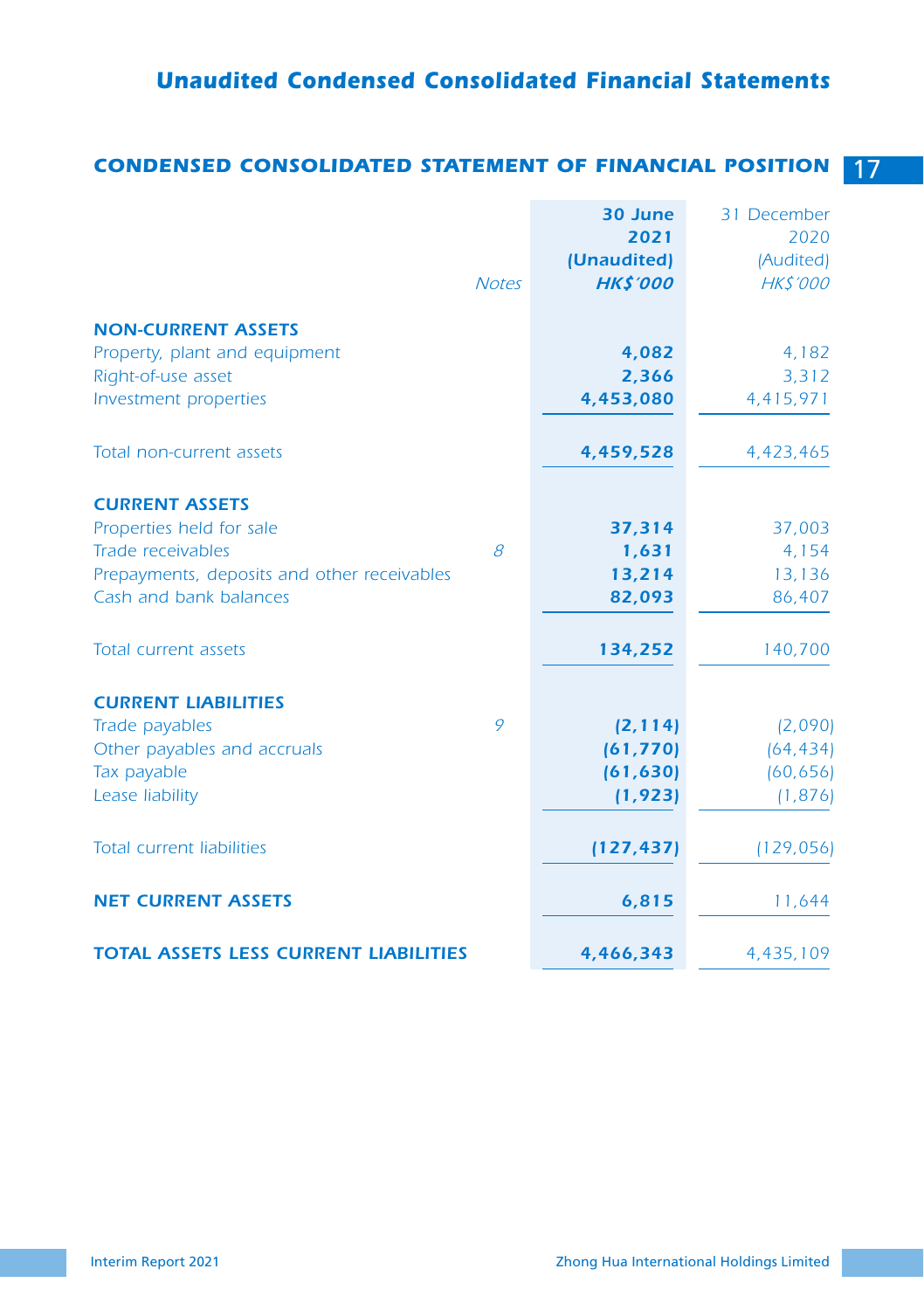# *Unaudited Condensed Consolidated Financial Statements*

# *CONDENSED CONSOLIDATED STATEMENT OF FINANCIAL POSITION* 17

|                                              |              | 30 June<br>2021 | 31 December<br>2020 |
|----------------------------------------------|--------------|-----------------|---------------------|
|                                              |              | (Unaudited)     | (Audited)           |
|                                              | <b>Notes</b> | <b>HK\$'000</b> | <b>HK\$'000</b>     |
|                                              |              |                 |                     |
| <b>NON-CURRENT ASSETS</b>                    |              |                 |                     |
| Property, plant and equipment                |              | 4,082           | 4,182               |
| Right-of-use asset                           |              | 2,366           | 3,312               |
| Investment properties                        |              | 4,453,080       | 4,415,971           |
| Total non-current assets                     |              | 4,459,528       | 4,423,465           |
|                                              |              |                 |                     |
| <b>CURRENT ASSETS</b>                        |              |                 |                     |
| Properties held for sale                     |              | 37,314          | 37,003              |
| Trade receivables                            | 8            | 1,631           | 4,154               |
| Prepayments, deposits and other receivables  |              | 13,214          | 13,136              |
| Cash and bank balances                       |              | 82,093          | 86,407              |
| <b>Total current assets</b>                  |              | 134,252         | 140,700             |
| <b>CURRENT LIABILITIES</b>                   |              |                 |                     |
| Trade payables                               | 9            | (2, 114)        | (2,090)             |
| Other payables and accruals                  |              | (61, 770)       | (64, 434)           |
| Tax payable                                  |              | (61, 630)       | (60, 656)           |
| Lease liability                              |              | (1, 923)        | (1, 876)            |
| <b>Total current liabilities</b>             |              | (127, 437)      | (129, 056)          |
| <b>NET CURRENT ASSETS</b>                    |              | 6,815           | 11,644              |
| <b>TOTAL ASSETS LESS CURRENT LIABILITIES</b> |              | 4,466,343       | 4,435,109           |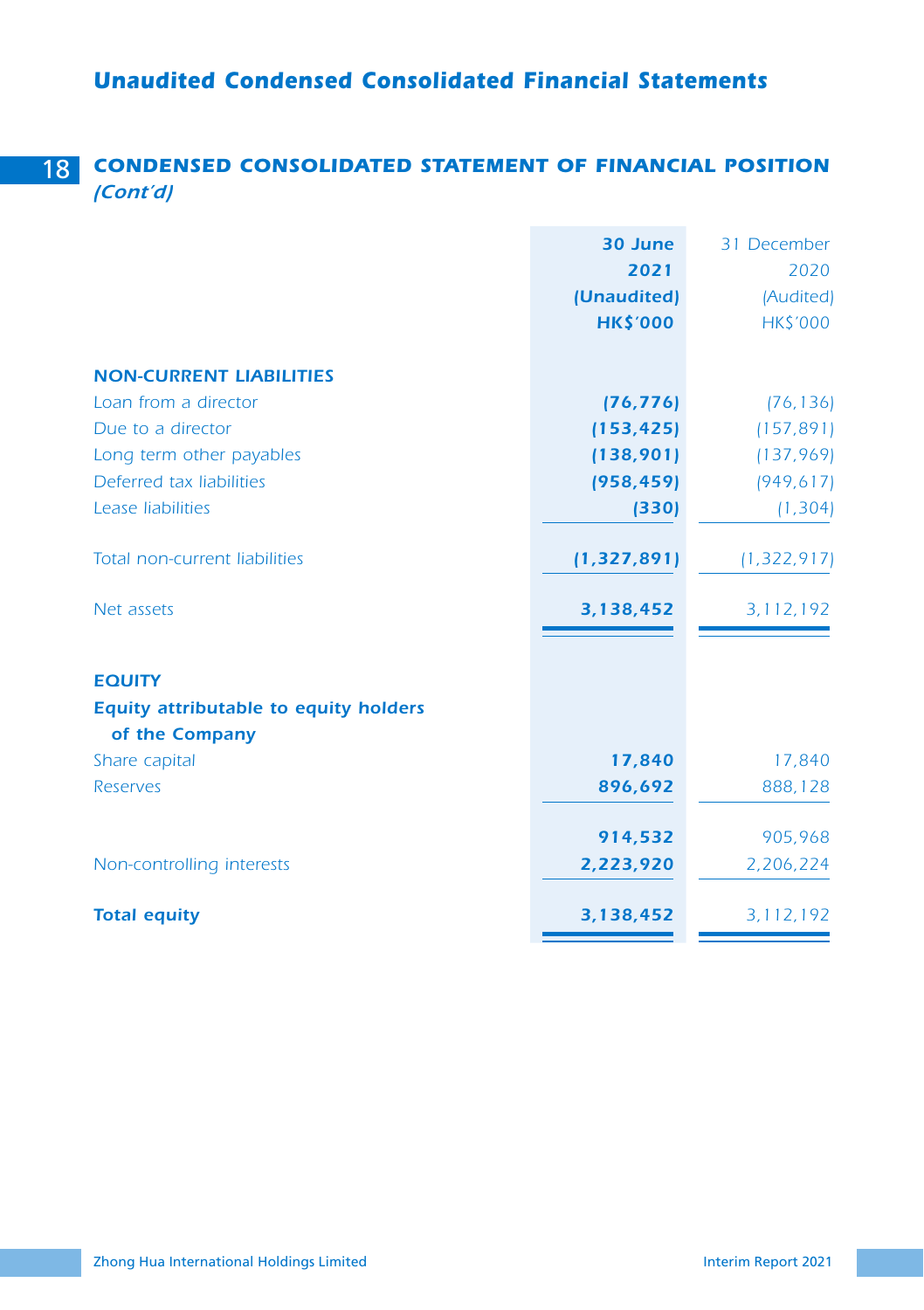# 18 *CONDENSED CONSOLIDATED STATEMENT OF FINANCIAL POSITION (Cont'd)*

|                                                               | 30 June<br>2021<br>(Unaudited)<br><b>HK\$'000</b> | 31 December<br>2020<br>(Audited)<br><b>HK\$'000</b> |
|---------------------------------------------------------------|---------------------------------------------------|-----------------------------------------------------|
| <b>NON-CURRENT LIABILITIES</b>                                |                                                   |                                                     |
| Loan from a director                                          | (76, 776)                                         | (76, 136)                                           |
| Due to a director                                             | (153, 425)                                        | (157, 891)                                          |
| Long term other payables                                      | (138,901)                                         | (137, 969)                                          |
| Deferred tax liabilities                                      | (958, 459)                                        | (949, 617)                                          |
| Lease liabilities                                             | (330)                                             | (1, 304)                                            |
| Total non-current liabilities                                 | (1, 327, 891)                                     | (1, 322, 917)                                       |
| Net assets                                                    | 3,138,452                                         | 3, 112, 192                                         |
| <b>EQUITY</b><br><b>Equity attributable to equity holders</b> |                                                   |                                                     |
| of the Company                                                |                                                   |                                                     |
| Share capital                                                 | 17,840                                            | 17,840                                              |
| <b>Reserves</b>                                               | 896,692                                           | 888,128                                             |
|                                                               | 914,532                                           | 905,968                                             |
| Non-controlling interests                                     | 2,223,920                                         | 2,206,224                                           |
| <b>Total equity</b>                                           | 3,138,452                                         | 3, 112, 192                                         |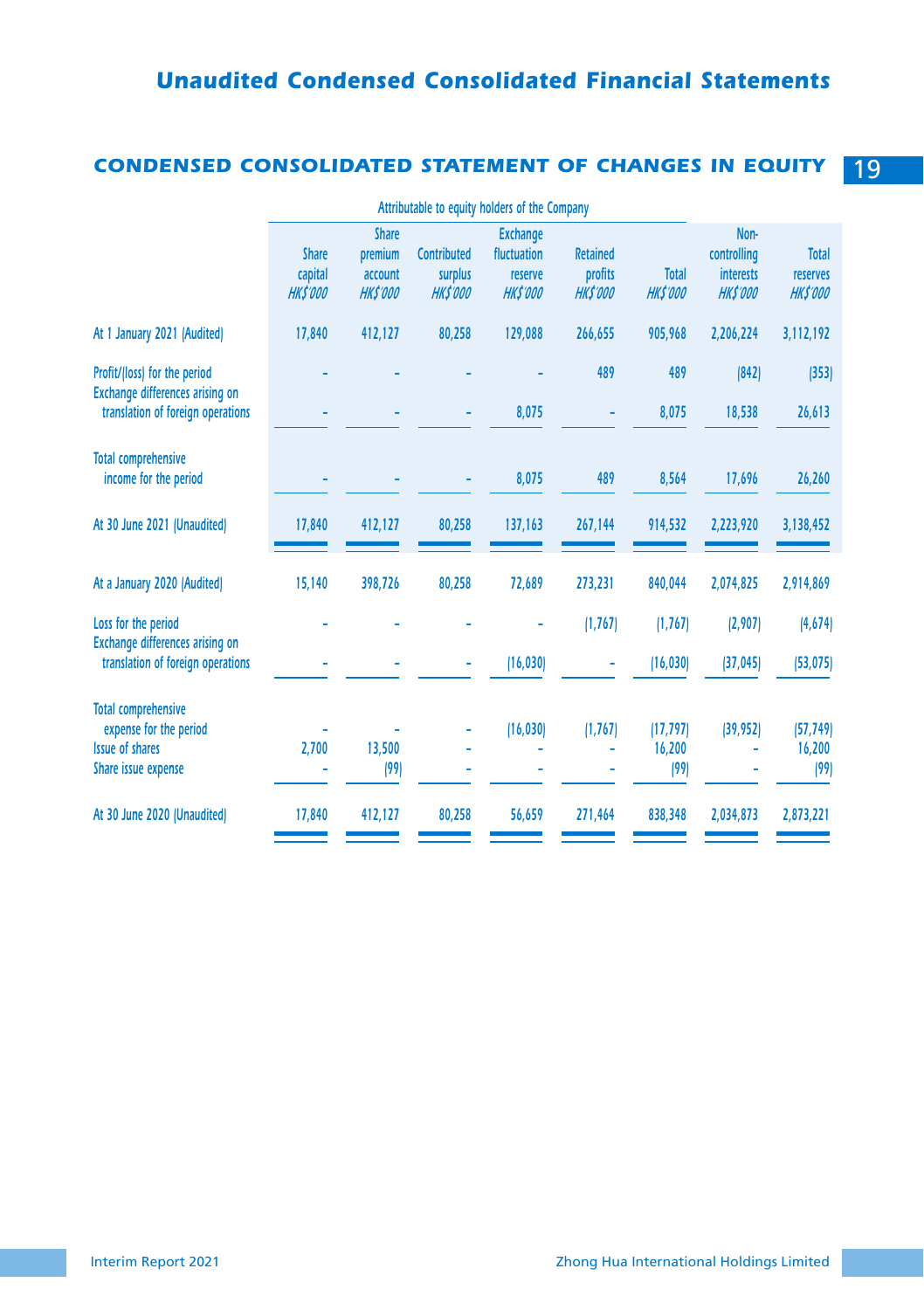# *CONDENSED CONSOLIDATED STATEMENT OF CHANGES IN EQUITY* 19

|                                                                                                       | Attributable to equity holders of the Company |                                                       |                                                  |                                                              |                                               |                                 |                                                            |                                      |
|-------------------------------------------------------------------------------------------------------|-----------------------------------------------|-------------------------------------------------------|--------------------------------------------------|--------------------------------------------------------------|-----------------------------------------------|---------------------------------|------------------------------------------------------------|--------------------------------------|
|                                                                                                       | <b>Share</b><br>capital<br><b>HK\$'000</b>    | <b>Share</b><br>premium<br>account<br><b>HK\$'000</b> | <b>Contributed</b><br>surplus<br><b>HK\$'000</b> | <b>Exchange</b><br>fluctuation<br>reserve<br><b>HK\$'000</b> | <b>Retained</b><br>profits<br><b>HK\$'000</b> | <b>Total</b><br><b>HK\$'000</b> | Non-<br>controlling<br><b>interests</b><br><b>HK\$'000</b> | Total<br>reserves<br><b>HK\$'000</b> |
| At 1 January 2021 [Audited]                                                                           | 17,840                                        | 412,127                                               | 80,258                                           | 129,088                                                      | 266,655                                       | 905,968                         | 2,206,224                                                  | 3,112,192                            |
| Profit/[loss] for the period<br>Exchange differences arising on<br>translation of foreign operations  |                                               |                                                       |                                                  | 8,075                                                        | 489                                           | 489                             | [842]                                                      | [353]                                |
|                                                                                                       |                                               |                                                       |                                                  |                                                              | ٠                                             | 8,075                           | 18,538                                                     | 26,613                               |
| <b>Total comprehensive</b><br>income for the period                                                   |                                               |                                                       |                                                  | 8,075                                                        | 489                                           | 8,564                           | 17,696                                                     | 26,260                               |
| At 30 June 2021 (Unaudited)                                                                           | 17,840                                        | 412,127                                               | 80,258                                           | 137,163                                                      | 267,144                                       | 914,532                         | 2,223,920                                                  | 3,138,452                            |
| At a January 2020 (Audited)                                                                           | 15,140                                        | 398,726                                               | 80,258                                           | 72,689                                                       | 273,231                                       | 840,044                         | 2,074,825                                                  | 2,914,869                            |
| Loss for the period                                                                                   |                                               |                                                       |                                                  |                                                              | (1, 767)                                      | (1, 767)                        | (2,907)                                                    | (4,674)                              |
| Exchange differences arising on<br>translation of foreign operations                                  |                                               |                                                       |                                                  | (16, 030)                                                    |                                               | (16, 030)                       | (37, 045)                                                  | (53, 075)                            |
| <b>Total comprehensive</b><br>expense for the period<br><b>Issue of shares</b><br>Share issue expense | 2,700                                         | 13,500<br>(99)                                        |                                                  | (16, 030)                                                    | (1, 767)                                      | (17, 797)<br>16,200<br>(99)     | (39, 952)                                                  | (57, 749)<br>16,200<br>(99)          |
| At 30 June 2020 (Unaudited)                                                                           | 17,840                                        | 412,127                                               | 80,258                                           | 56,659                                                       | 271,464                                       | 838,348                         | 2,034,873                                                  | 2,873,221                            |
|                                                                                                       |                                               |                                                       |                                                  |                                                              |                                               |                                 |                                                            |                                      |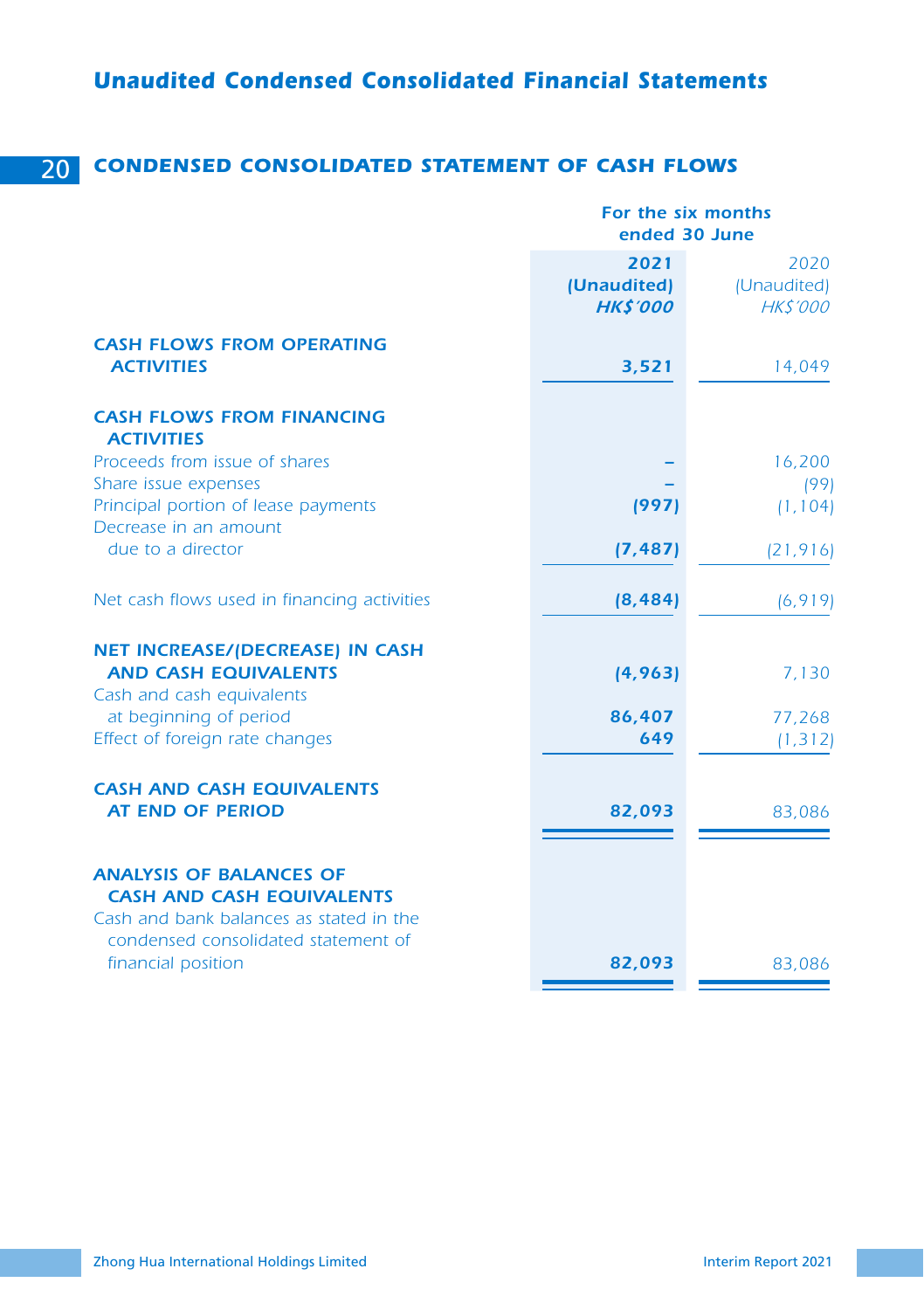# 20 *CONDENSED CONSOLIDATED STATEMENT OF CASH FLOWS*

|                                                                                                                                                      | For the six months<br>ended 30 June    |                                       |
|------------------------------------------------------------------------------------------------------------------------------------------------------|----------------------------------------|---------------------------------------|
|                                                                                                                                                      | 2021<br>(Unaudited)<br><b>HK\$'000</b> | 2020<br>(Unaudited)<br><b>HKS'000</b> |
| <b>CASH FLOWS FROM OPERATING</b><br><b>ACTIVITIES</b>                                                                                                | 3,521                                  | 14,049                                |
| <b>CASH FLOWS FROM FINANCING</b><br><b>ACTIVITIES</b>                                                                                                |                                        |                                       |
| Proceeds from issue of shares                                                                                                                        |                                        | 16,200                                |
| Share issue expenses                                                                                                                                 |                                        | (99)                                  |
| Principal portion of lease payments<br>Decrease in an amount                                                                                         | (997)                                  | (1, 104)                              |
| due to a director                                                                                                                                    | (7, 487)                               | (21, 916)                             |
| Net cash flows used in financing activities                                                                                                          | (8, 484)                               | (6, 919)                              |
| <b>NET INCREASE/(DECREASE) IN CASH</b>                                                                                                               |                                        |                                       |
| <b>AND CASH EQUIVALENTS</b><br>Cash and cash equivalents                                                                                             | (4, 963)                               | 7,130                                 |
| at beginning of period                                                                                                                               | 86,407                                 | 77,268                                |
| Effect of foreign rate changes                                                                                                                       | 649                                    | (1, 312)                              |
| <b>CASH AND CASH EQUIVALENTS</b><br><b>AT END OF PERIOD</b>                                                                                          | 82,093                                 | 83,086                                |
| <b>ANALYSIS OF BALANCES OF</b><br><b>CASH AND CASH EQUIVALENTS</b><br>Cash and bank balances as stated in the<br>condensed consolidated statement of |                                        |                                       |
| financial position                                                                                                                                   | 82,093                                 | 83,086                                |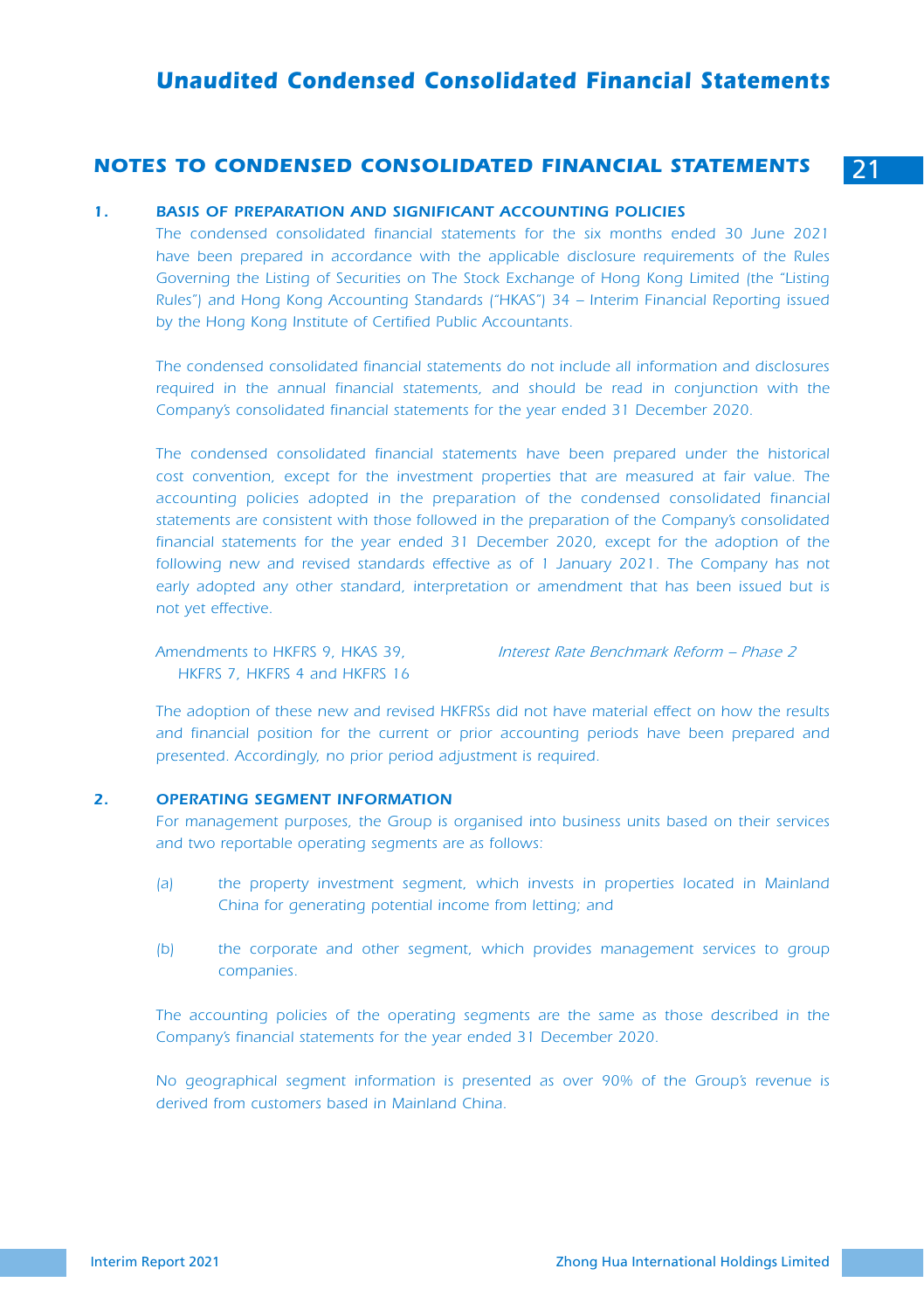# *Unaudited Condensed Consolidated Financial Statements*

#### *NOTES TO CONDENSED CONSOLIDATED FINANCIAL STATEMENTS* 21

#### *1. BASIS OF PREPARATION AND SIGNIFICANT ACCOUNTING POLICIES*

*The condensed consolidated financial statements for the six months ended 30 June 2021 have been prepared in accordance with the applicable disclosure requirements of the Rules*  Governing the Listing of Securities on The Stock Exchange of Hong Kong Limited (the "Listing *Rules") and Hong Kong Accounting Standards ("HKAS") 34 – Interim Financial Reporting issued by the Hong Kong Institute of Certified Public Accountants.*

*The condensed consolidated financial statements do not include all information and disclosures*  required in the annual financial statements, and should be read in conjunction with the *Company's consolidated financial statements for the year ended 31 December 2020.*

*The condensed consolidated financial statements have been prepared under the historical*  cost convention, except for the investment properties that are measured at fair value. The *accounting policies adopted in the preparation of the condensed consolidated financial statements are consistent with those followed in the preparation of the Company's consolidated financial statements for the year ended 31 December 2020, except for the adoption of the* following new and revised standards effective as of 1 January 2021. The Company has not early adopted any other standard, interpretation or amendment that has been issued but is *not yet effective.*

*Amendments to HKFRS 9, HKAS 39, HKFRS 7, HKFRS 4 and HKFRS 16* *Interest Rate Benchmark Reform – Phase 2*

*The adoption of these new and revised HKFRSs did not have material effect on how the results and financial position for the current or prior accounting periods have been prepared and presented. Accordingly, no prior period adjustment is required.*

#### *2. OPERATING SEGMENT INFORMATION*

For management purposes, the Group is organised into business units based on their services *and two reportable operating segments are as follows:*

- *(a) the property investment segment, which invests in properties located in Mainland China for generating potential income from letting; and*
- *(b) the corporate and other segment, which provides management services to group companies.*

*The accounting policies of the operating segments are the same as those described in the Company's financial statements for the year ended 31 December 2020.*

*No geographical segment information is presented as over 90% of the Group's revenue is derived from customers based in Mainland China.*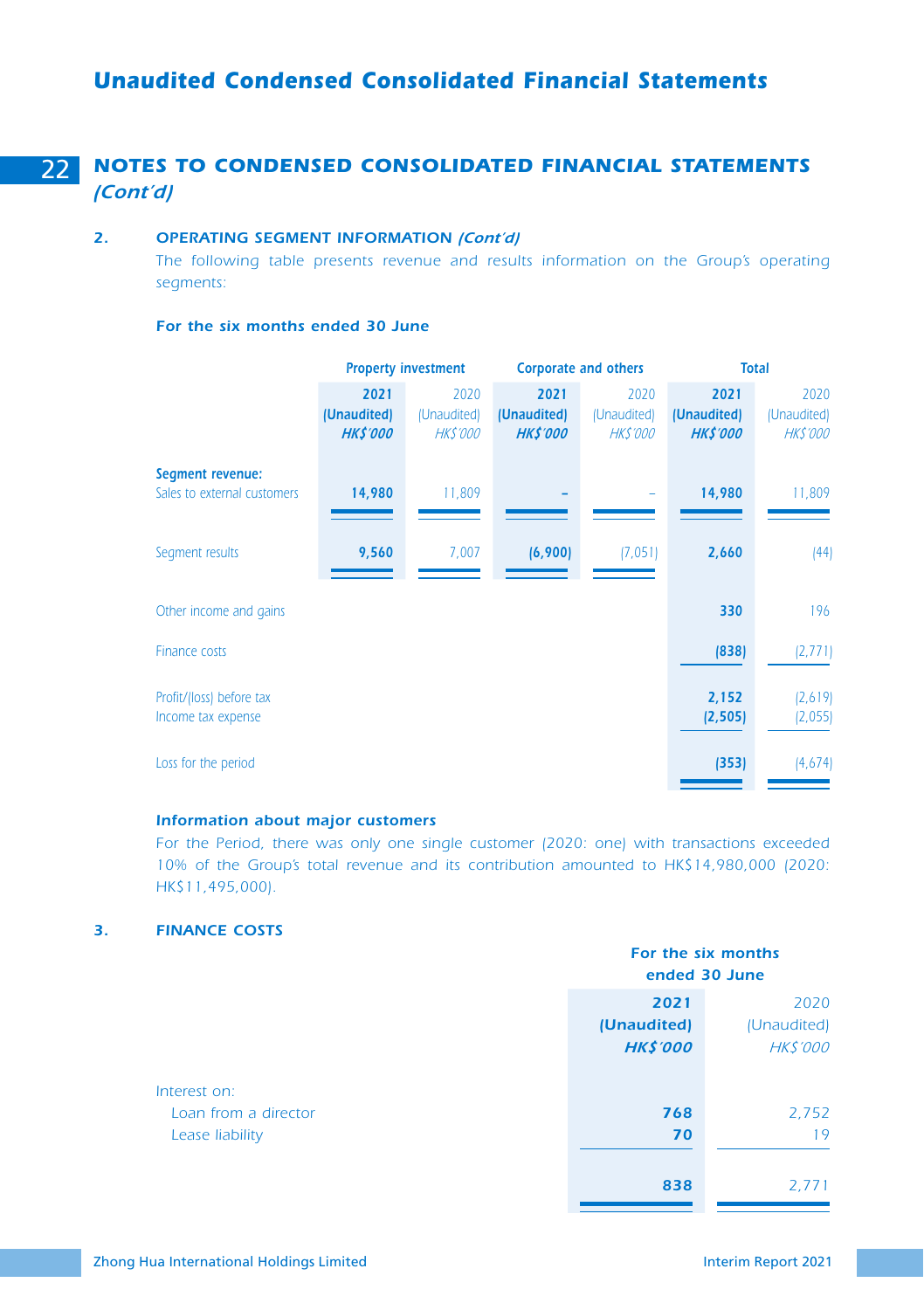# 22 *NOTES TO CONDENSED CONSOLIDATED FINANCIAL STATEMENTS (Cont'd)*

#### *2. OPERATING SEGMENT INFORMATION (Cont'd)*

*The following table presents revenue and results information on the Group's operating segments:*

#### *For the six months ended 30 June*

|                                                 | <b>Property investment</b>             |                                       |                                        | <b>Corporate and others</b>           | <b>Total</b>                           |                                       |  |
|-------------------------------------------------|----------------------------------------|---------------------------------------|----------------------------------------|---------------------------------------|----------------------------------------|---------------------------------------|--|
|                                                 | 2021<br>(Unaudited)<br><b>HK\$'000</b> | 2020<br>(Unaudited)<br><b>HKS'000</b> | 2021<br>(Unaudited)<br><b>HK\$'000</b> | 2020<br>(Unaudited)<br><b>HKS'000</b> | 2021<br>(Unaudited)<br><b>HK\$'000</b> | 2020<br>(Unaudited)<br><b>HKS'000</b> |  |
| Segment revenue:<br>Sales to external customers | 14,980                                 | 11,809                                |                                        |                                       | 14,980                                 | 11,809                                |  |
| Segment results                                 | 9,560                                  | 7,007                                 | (6,900)                                | (7,051)                               | 2,660                                  | (44)                                  |  |
| Other income and gains                          |                                        |                                       |                                        |                                       | 330                                    | 196                                   |  |
| <b>Finance costs</b>                            |                                        |                                       |                                        |                                       | (838)                                  | (2, 771)                              |  |
| Profit/(loss) before tax<br>Income tax expense  |                                        |                                       |                                        |                                       | 2,152<br>(2, 505)                      | (2,619)<br>(2,055)                    |  |
| Loss for the period                             |                                        |                                       |                                        |                                       | (353)                                  | (4,674)                               |  |

#### *Information about major customers*

*For the Period, there was only one single customer (2020: one) with transactions exceeded 10% of the Group's total revenue and its contribution amounted to HK\$14,980,000 (2020: HK\$11,495,000).*

#### *3. FINANCE COSTS*

|                      | ended 30 June                          | For the six months                    |
|----------------------|----------------------------------------|---------------------------------------|
|                      | 2021<br>(Unaudited)<br><b>HK\$'000</b> | 2020<br>(Unaudited)<br><b>HKS'000</b> |
| Loan from a director | 768<br>70                              | 2,752<br>19                           |
|                      | 838                                    | 2,771                                 |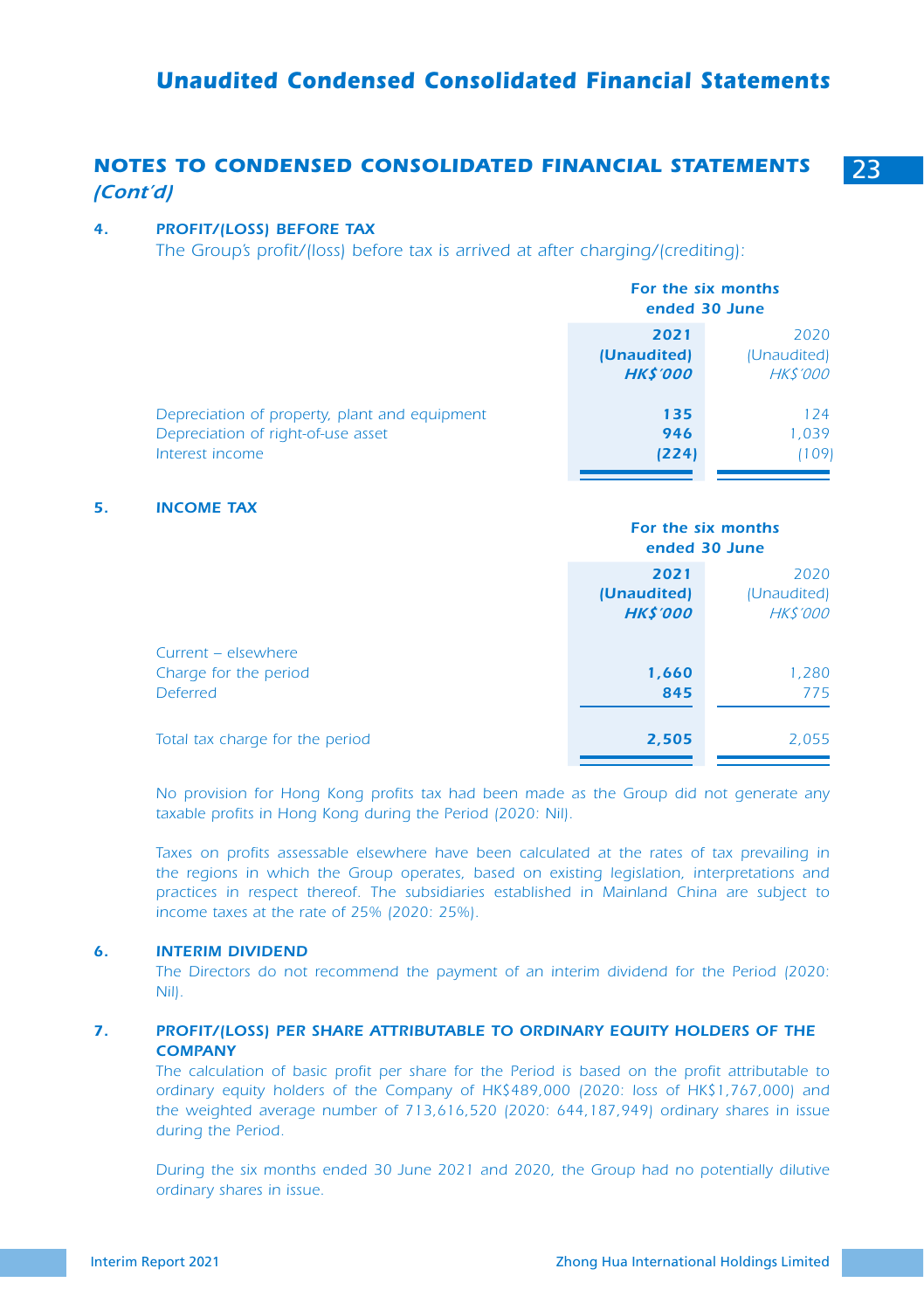# *Unaudited Condensed Consolidated Financial Statements*

# *NOTES TO CONDENSED CONSOLIDATED FINANCIAL STATEMENTS* 23 *(Cont'd)*

#### *4. PROFIT/(LOSS) BEFORE TAX*

*The Group's profit/(loss) before tax is arrived at after charging/(crediting):*

|                                                                                                        | For the six months<br>ended 30 June    |                                       |
|--------------------------------------------------------------------------------------------------------|----------------------------------------|---------------------------------------|
|                                                                                                        | 2021<br>(Unaudited)<br><b>HK\$'000</b> | 2020<br>(Unaudited)<br><b>HKS'000</b> |
| Depreciation of property, plant and equipment<br>Depreciation of right-of-use asset<br>Interest income | 135<br>946<br>(224)                    | 124<br>1,039<br>109                   |

#### *5. INCOME TAX*

|                                                          |                                        | For the six months<br>ended 30 June   |
|----------------------------------------------------------|----------------------------------------|---------------------------------------|
|                                                          | 2021<br>(Unaudited)<br><b>HK\$'000</b> | 2020<br>(Unaudited)<br><b>HKS'000</b> |
| Current – elsewhere<br>Charge for the period<br>Deferred | 1,660<br>845                           | 1,280<br>775                          |
| Total tax charge for the period                          | 2,505                                  | 2,055                                 |

*No provision for Hong Kong profits tax had been made as the Group did not generate any taxable profits in Hong Kong during the Period (2020: Nil).*

Taxes on profits assessable elsewhere have been calculated at the rates of tax prevailing in *the regions in which the Group operates, based on existing legislation, interpretations and practices in respect thereof. The subsidiaries established in Mainland China are subject to income taxes at the rate of 25% (2020: 25%).*

#### *6. INTERIM DIVIDEND*

The Directors do not recommend the payment of an interim dividend for the Period (2020: *Nil).*

#### *7. PROFIT/(LOSS) PER SHARE ATTRIBUTABLE TO ORDINARY EQUITY HOLDERS OF THE COMPANY*

*The calculation of basic profit per share for the Period is based on the profit attributable to ordinary equity holders of the Company of HK\$489,000 (2020: loss of HK\$1,767,000) and the weighted average number of 713,616,520 (2020: 644,187,949) ordinary shares in issue during the Period.*

*During the six months ended 30 June 2021 and 2020, the Group had no potentially dilutive ordinary shares in issue.*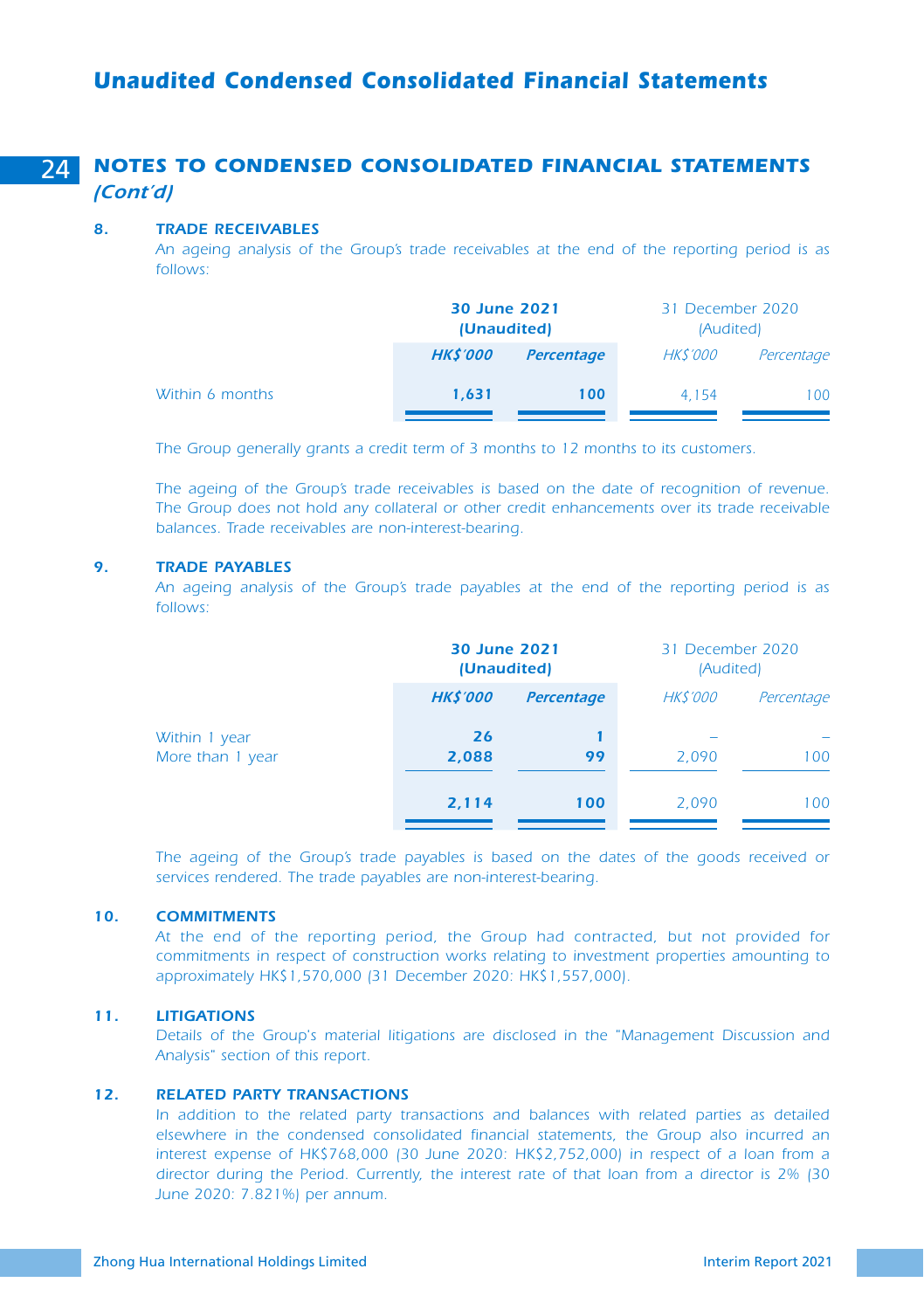# *Unaudited Condensed Consolidated Financial Statements*

# 24 *NOTES TO CONDENSED CONSOLIDATED FINANCIAL STATEMENTS (Cont'd)*

#### *8. TRADE RECEIVABLES*

*An ageing analysis of the Group's trade receivables at the end of the reporting period is as follows:*

|                 | 30 June 2021<br>(Unaudited) |                   | 31 December 2020<br>(Audited) |            |
|-----------------|-----------------------------|-------------------|-------------------------------|------------|
|                 | <b>HK\$'000</b>             | <b>Percentage</b> | <b>HKS'000</b>                | Percentage |
| Within 6 months | 1.631                       | 100               | 4.154                         | 100        |

*The Group generally grants a credit term of 3 months to 12 months to its customers.*

*The ageing of the Group's trade receivables is based on the date of recognition of revenue. The Group does not hold any collateral or other credit enhancements over its trade receivable balances. Trade receivables are non-interest-bearing.*

#### *9. TRADE PAYABLES*

*An ageing analysis of the Group's trade payables at the end of the reporting period is as follows:*

|                                   |                | 30 June 2021<br>(Unaudited) |                | 31 December 2020<br>(Audited) |  |
|-----------------------------------|----------------|-----------------------------|----------------|-------------------------------|--|
|                                   | <b>HKS'000</b> | <b>Percentage</b>           | <b>HKS'000</b> | Percentage                    |  |
| Within 1 year<br>More than 1 year | 26<br>2,088    | 99                          | 2.090          | 100                           |  |
|                                   | 2,114          | 100                         | 2.090          | 100                           |  |

The ageing of the Group's trade payables is based on the dates of the goods received or *services rendered. The trade payables are non-interest-bearing.*

#### *10. COMMITMENTS*

*At the end of the reporting period, the Group had contracted, but not provided for commitments in respect of construction works relating to investment properties amounting to approximately HK\$1,570,000 (31 December 2020: HK\$1,557,000).*

#### *11. LITIGATIONS*

*Details of the Group's material litigations are disclosed in the "Management Discussion and Analysis" section of this report.*

#### *12. RELATED PARTY TRANSACTIONS*

In addition to the related party transactions and balances with related parties as detailed *elsewhere in the condensed consolidated financial statements, the Group also incurred an interest expense of HK\$768,000 (30 June 2020: HK\$2,752,000) in respect of a loan from a director during the Period. Currently, the interest rate of that loan from a director is 2% (30 June 2020: 7.821%) per annum.*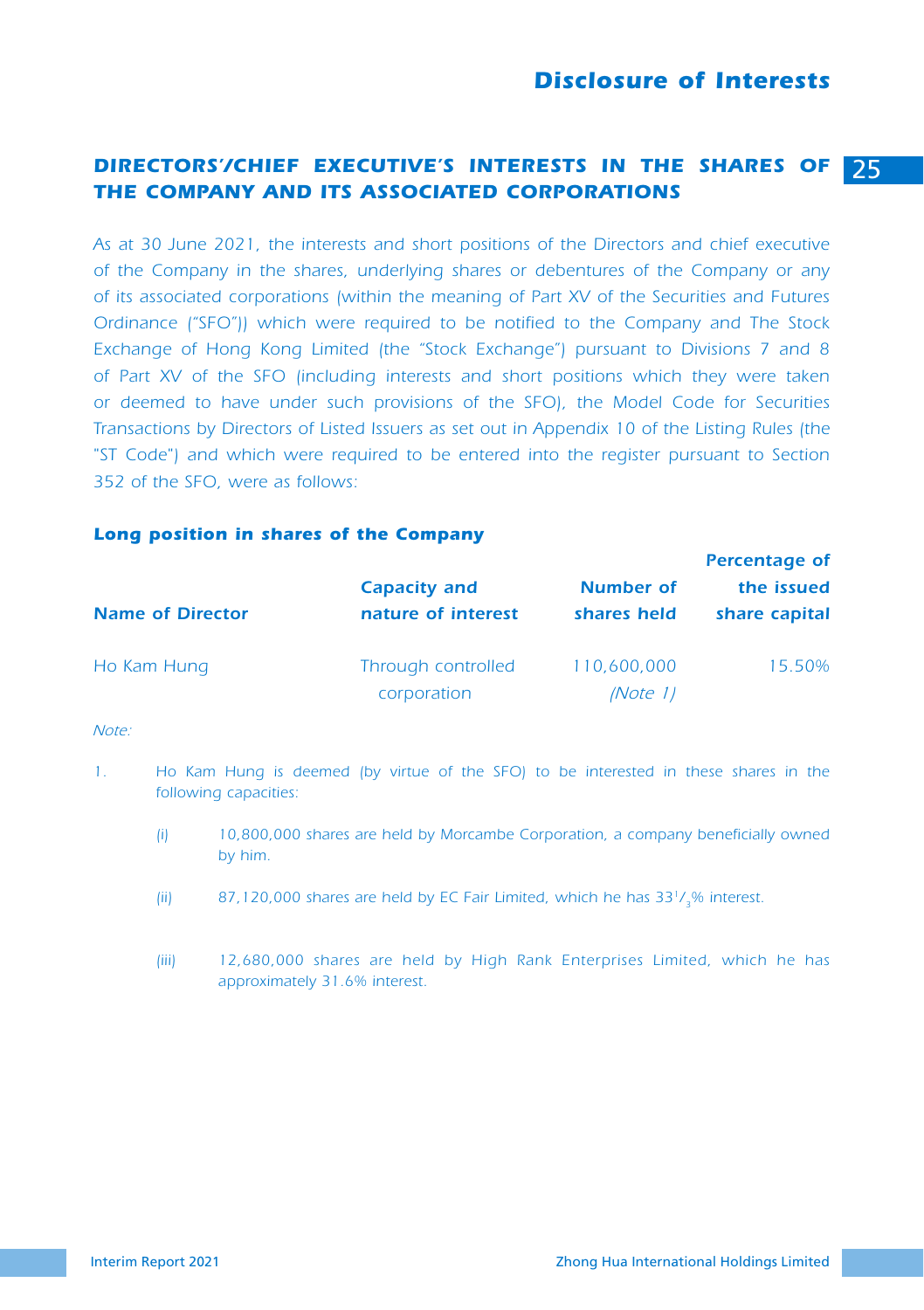# *Disclosure of Interests*

# *DIRECTORS'/CHIEF EXECUTIVE'S INTERESTS IN THE SHARES OF* 25 *THE COMPANY AND ITS ASSOCIATED CORPORATIONS*

*As at 30 June 2021, the interests and short positions of the Directors and chief executive of the Company in the shares, underlying shares or debentures of the Company or any of its associated corporations (within the meaning of Part XV of the Securities and Futures Ordinance ("SFO")) which were required to be notified to the Company and The Stock Exchange of Hong Kong Limited (the "Stock Exchange") pursuant to Divisions 7 and 8 of Part XV of the SFO (including interests and short positions which they were taken or deemed to have under such provisions of the SFO), the Model Code for Securities Transactions by Directors of Listed Issuers as set out in Appendix 10 of the Listing Rules (the "ST Code") and which were required to be entered into the register pursuant to Section 352 of the SFO, were as follows:*

#### *Long position in shares of the Company*

|                         |                                           | <b>Percentage of</b>            |                             |
|-------------------------|-------------------------------------------|---------------------------------|-----------------------------|
| <b>Name of Director</b> | <b>Capacity and</b><br>nature of interest | <b>Number of</b><br>shares held | the issued<br>share capital |
| Ho Kam Hung             | Through controlled<br>corporation         | 110,600,000<br><i>(Note 1)</i>  | 15.50%                      |

*Note:*

- *1. Ho Kam Hung is deemed (by virtue of the SFO) to be interested in these shares in the following capacities:*
	- *(i) 10,800,000 shares are held by Morcambe Corporation, a company beneficially owned by him.*
	- *(ii) 87,120,000 shares are held by EC Fair Limited, which he has 331/3% interest.*
	- *(iii) 12,680,000 shares are held by High Rank Enterprises Limited, which he has approximately 31.6% interest.*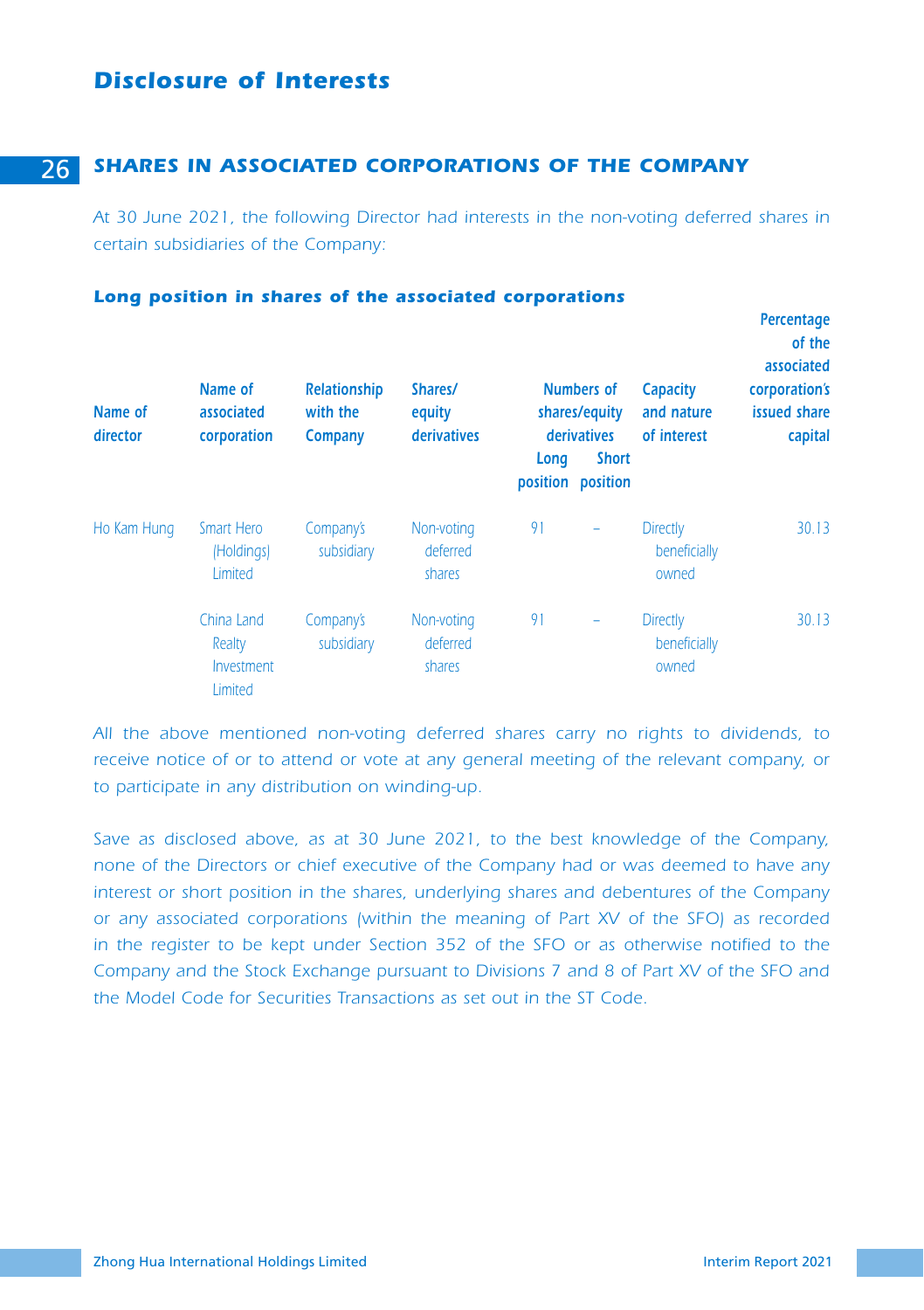# *Disclosure of Interests*

# 26 *SHARES IN ASSOCIATED CORPORATIONS OF THE COMPANY*

*At 30 June 2021, the following Director had interests in the non-voting deferred shares in certain subsidiaries of the Company:* 

| Name of<br>director | Name of<br>associated<br>corporation          | Long position in shares of the associated corporations<br><b>Relationship</b><br>with the<br>Company | Shares/<br>equity<br>derivatives | Long | <b>Numbers of</b><br>shares/equity<br>derivatives<br><b>Short</b><br>position position | Capacity<br>and nature<br>of interest    | Percentage<br>of the<br>associated<br>corporation's<br>issued share<br>capital |
|---------------------|-----------------------------------------------|------------------------------------------------------------------------------------------------------|----------------------------------|------|----------------------------------------------------------------------------------------|------------------------------------------|--------------------------------------------------------------------------------|
| Ho Kam Hung         | Smart Hero<br>(Holdings)<br>Limited           | Company's<br>subsidiary                                                                              | Non-voting<br>deferred<br>shares | 91   |                                                                                        | <b>Directly</b><br>beneficially<br>owned | 30.13                                                                          |
|                     | China Land<br>Realty<br>Investment<br>Limited | Company's<br>subsidiary                                                                              | Non-voting<br>deferred<br>shares | 91   |                                                                                        | <b>Directly</b><br>beneficially<br>owned | 30.13                                                                          |

*All the above mentioned non-voting deferred shares carry no rights to dividends, to*  receive notice of or to attend or vote at any general meeting of the relevant company, or *to participate in any distribution on winding-up.*

*Save as disclosed above, as at 30 June 2021, to the best knowledge of the Company, none of the Directors or chief executive of the Company had or was deemed to have any interest or short position in the shares, underlying shares and debentures of the Company or any associated corporations (within the meaning of Part XV of the SFO) as recorded in the register to be kept under Section 352 of the SFO or as otherwise notified to the Company and the Stock Exchange pursuant to Divisions 7 and 8 of Part XV of the SFO and the Model Code for Securities Transactions as set out in the ST Code.*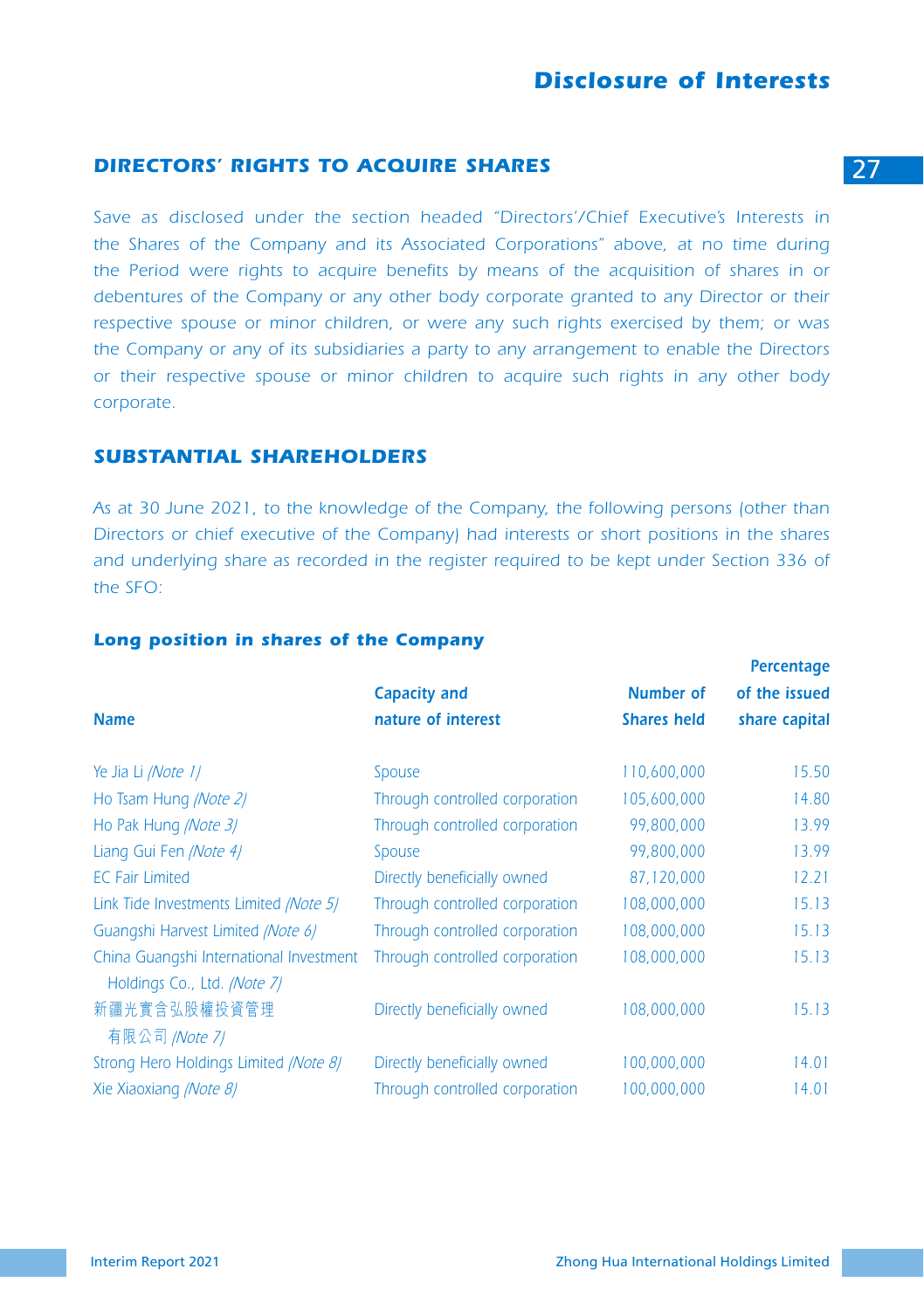# **DIRECTORS' RIGHTS TO ACQUIRE SHARES** 27

Save as disclosed under the section headed "Directors'/Chief Executive's Interests in *the Shares of the Company and its Associated Corporations" above, at no time during the Period were rights to acquire benefits by means of the acquisition of shares in or debentures of the Company or any other body corporate granted to any Director or their respective spouse or minor children, or were any such rights exercised by them; or was the Company or any of its subsidiaries a party to any arrangement to enable the Directors or their respective spouse or minor children to acquire such rights in any other body corporate.*

## *SUBSTANTIAL SHAREHOLDERS*

*As at 30 June 2021, to the knowledge of the Company, the following persons (other than Directors or chief executive of the Company) had interests or short positions in the shares and underlying share as recorded in the register required to be kept under Section 336 of the SFO:*

#### *Long position in shares of the Company*

|                                                                        |                                |                    | Percentage    |
|------------------------------------------------------------------------|--------------------------------|--------------------|---------------|
|                                                                        | <b>Capacity and</b>            | <b>Number of</b>   | of the issued |
| <b>Name</b>                                                            | nature of interest             | <b>Shares held</b> | share capital |
|                                                                        |                                |                    |               |
| Ye Jia Li /Note 1/                                                     | Spouse                         | 110,600,000        | 15.50         |
| Ho Tsam Hung (Note 2)                                                  | Through controlled corporation | 105,600,000        | 14.80         |
| Ho Pak Hung (Note 3)                                                   | Through controlled corporation | 99,800,000         | 13.99         |
| Liang Gui Fen (Note 4)                                                 | Spouse                         | 99,800,000         | 13.99         |
| <b>EC Fair Limited</b>                                                 | Directly beneficially owned    | 87,120,000         | 12.21         |
| Link Tide Investments Limited /Note 5/                                 | Through controlled corporation | 108,000,000        | 15.13         |
| Guangshi Harvest Limited (Note 6)                                      | Through controlled corporation | 108,000,000        | 15.13         |
| China Guangshi International Investment<br>Holdings Co., Ltd. /Note 7/ | Through controlled corporation | 108,000,000        | 15.13         |
| 新疆光實含弘股權投資管理<br>有限公司 /Note 7/                                          | Directly beneficially owned    | 108,000,000        | 15.13         |
| Strong Hero Holdings Limited (Note 8)                                  | Directly beneficially owned    | 100,000,000        | 14.01         |
| Xie Xiaoxiang (Note 8)                                                 | Through controlled corporation | 100,000,000        | 14.01         |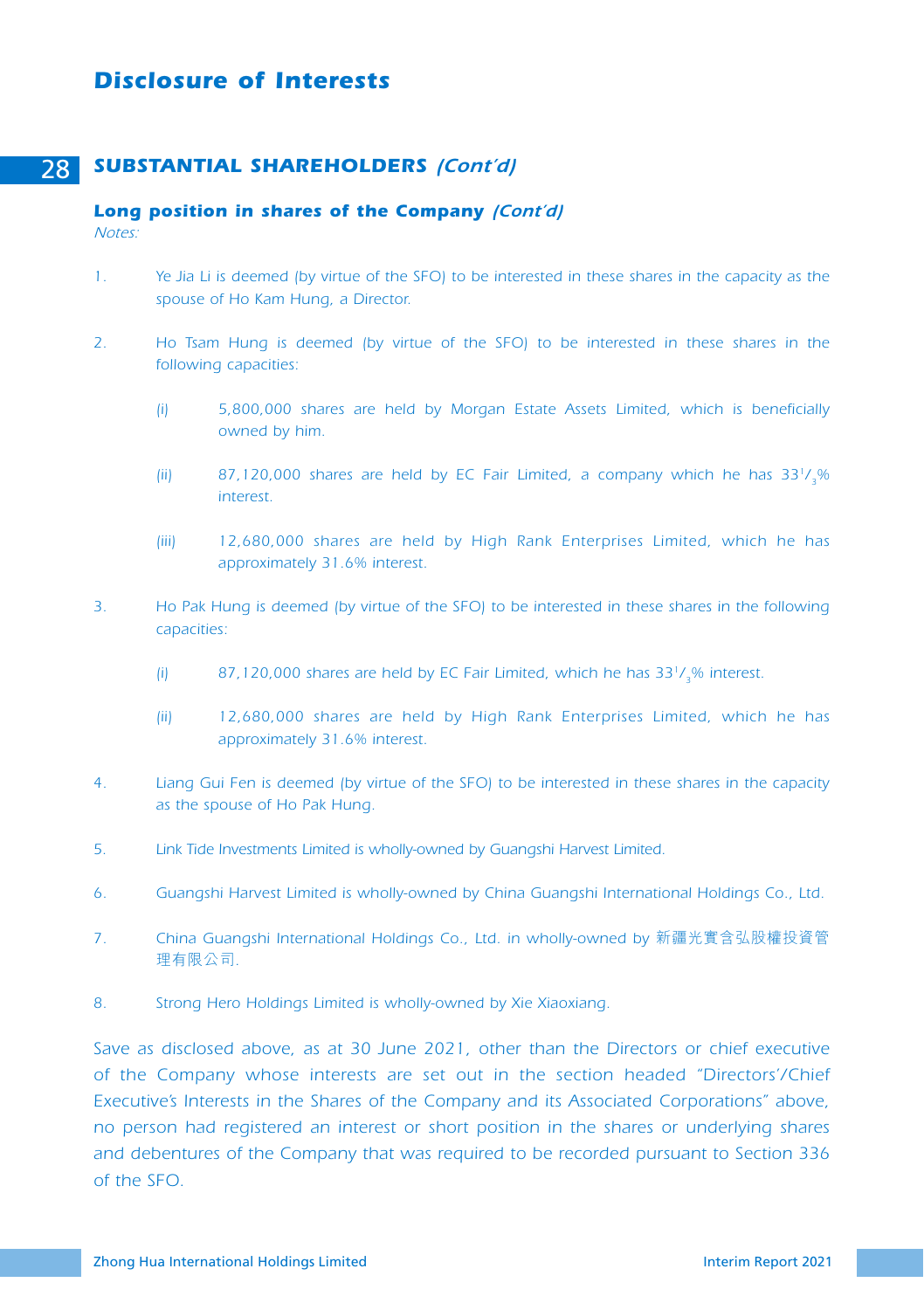# *Disclosure of Interests*

# 28 *SUBSTANTIAL SHAREHOLDERS (Cont'd)*

#### *Long position in shares of the Company (Cont'd) Notes:*

- *1. Ye Jia Li is deemed (by virtue of the SFO) to be interested in these shares in the capacity as the spouse of Ho Kam Hung, a Director.*
- *2. Ho Tsam Hung is deemed (by virtue of the SFO) to be interested in these shares in the following capacities:* 
	- *(i) 5,800,000 shares are held by Morgan Estate Assets Limited, which is beneficially owned by him.*
	- *(ii) 87,120,000 shares are held by EC Fair Limited, a company which he has 331/3% interest.*
	- *(iii) 12,680,000 shares are held by High Rank Enterprises Limited, which he has approximately 31.6% interest.*
- *3. Ho Pak Hung is deemed (by virtue of the SFO) to be interested in these shares in the following capacities:* 
	- *(i) 87,120,000 shares are held by EC Fair Limited, which he has 331/3% interest.*
	- *(ii) 12,680,000 shares are held by High Rank Enterprises Limited, which he has approximately 31.6% interest.*
- *4. Liang Gui Fen is deemed (by virtue of the SFO) to be interested in these shares in the capacity as the spouse of Ho Pak Hung.*
- *5. Link Tide Investments Limited is wholly-owned by Guangshi Harvest Limited.*
- *6. Guangshi Harvest Limited is wholly-owned by China Guangshi International Holdings Co., Ltd.*
- *7. China Guangshi International Holdings Co., Ltd. in wholly-owned by* 新疆光實含弘股權投資管 理有限公司*.*
- *8. Strong Hero Holdings Limited is wholly-owned by Xie Xiaoxiang.*

*Save as disclosed above, as at 30 June 2021, other than the Directors or chief executive of the Company whose interests are set out in the section headed "Directors'/Chief Executive's Interests in the Shares of the Company and its Associated Corporations" above, no person had registered an interest or short position in the shares or underlying shares and debentures of the Company that was required to be recorded pursuant to Section 336 of the SFO.*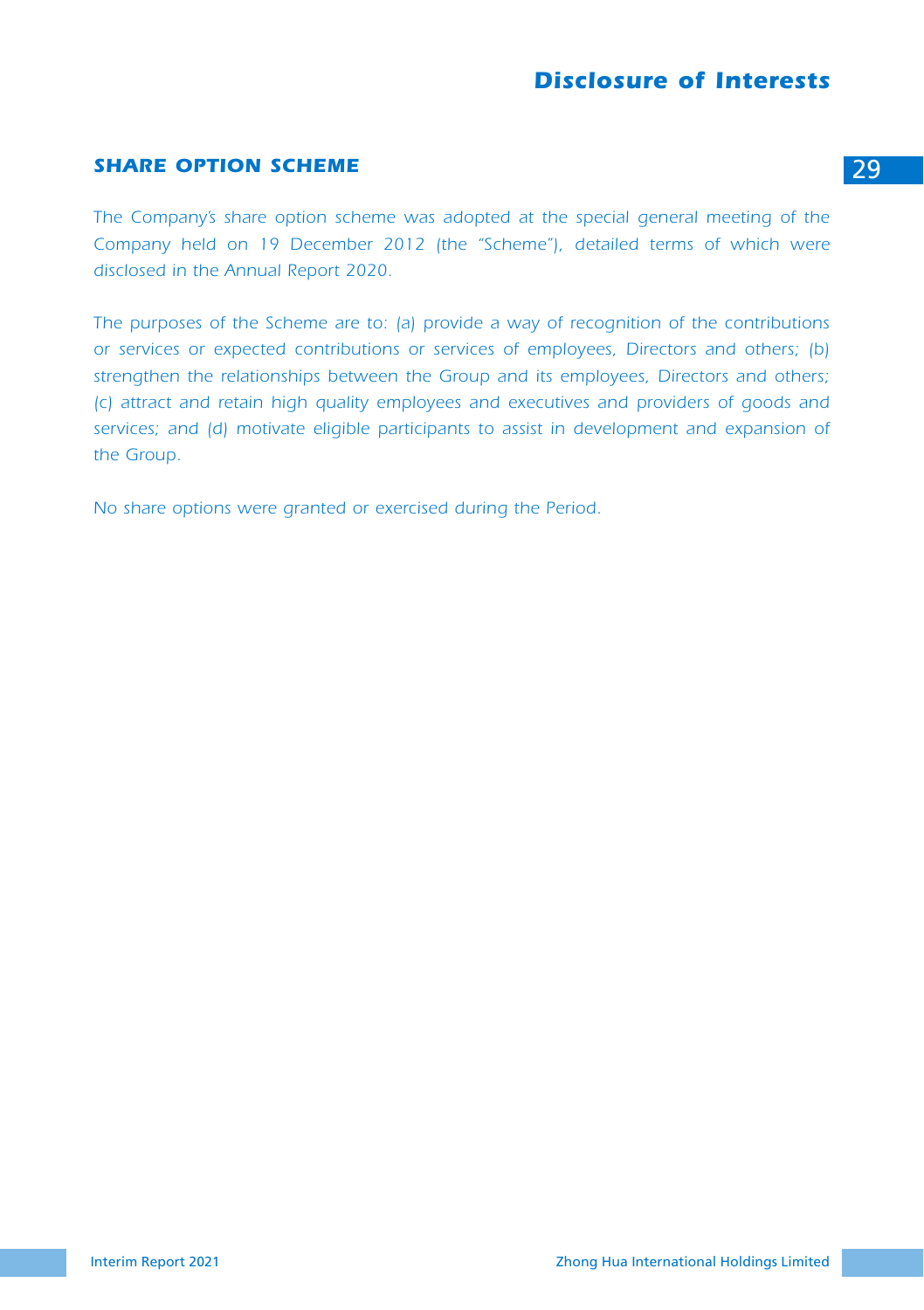# *Disclosure of Interests*

# **SHARE OPTION SCHEME** 29

*The Company's share option scheme was adopted at the special general meeting of the*  Company held on 19 December 2012 (the "Scheme"), detailed terms of which were *disclosed in the Annual Report 2020.*

*The purposes of the Scheme are to: (a) provide a way of recognition of the contributions or services or expected contributions or services of employees, Directors and others; (b) strengthen the relationships between the Group and its employees, Directors and others; (c) attract and retain high quality employees and executives and providers of goods and*  services; and (d) motivate eligible participants to assist in development and expansion of *the Group.*

*No share options were granted or exercised during the Period.*